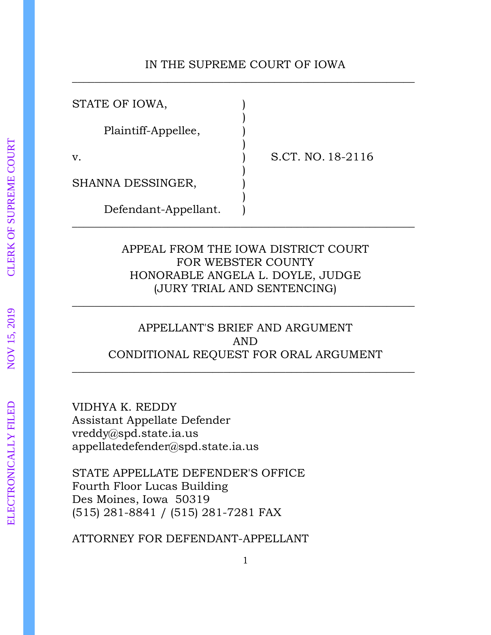# IN THE SUPREME COURT OF IOWA \_\_\_\_\_\_\_\_\_\_\_\_\_\_\_\_\_\_\_\_\_\_\_\_\_\_\_\_\_\_\_\_\_\_\_\_\_\_\_\_\_\_\_\_\_\_\_\_\_\_\_\_\_\_\_\_\_\_\_\_\_

| STATE OF IOWA,       |                   |
|----------------------|-------------------|
| Plaintiff-Appellee,  |                   |
| v.                   | S.CT. NO. 18-2116 |
| SHANNA DESSINGER,    |                   |
| Defendant-Appellant. |                   |

# APPEAL FROM THE IOWA DISTRICT COURT FOR WEBSTER COUNTY HONORABLE ANGELA L. DOYLE, JUDGE (JURY TRIAL AND SENTENCING)

\_\_\_\_\_\_\_\_\_\_\_\_\_\_\_\_\_\_\_\_\_\_\_\_\_\_\_\_\_\_\_\_\_\_\_\_\_\_\_\_\_\_\_\_\_\_\_\_\_\_\_\_\_\_\_\_\_\_\_\_\_

# APPELLANT'S BRIEF AND ARGUMENT AND CONDITIONAL REQUEST FOR ORAL ARGUMENT

\_\_\_\_\_\_\_\_\_\_\_\_\_\_\_\_\_\_\_\_\_\_\_\_\_\_\_\_\_\_\_\_\_\_\_\_\_\_\_\_\_\_\_\_\_\_\_\_\_\_\_\_\_\_\_\_\_\_\_\_\_

VIDHYA K. REDDY Assistant Appellate Defender vreddy@spd.state.ia.us appellatedefender@spd.state.ia.us

STATE APPELLATE DEFENDER'S OFFICE Fourth Floor Lucas Building Des Moines, Iowa 50319 (515) 281-8841 / (515) 281-7281 FAX

ATTORNEY FOR DEFENDANT-APPELLANT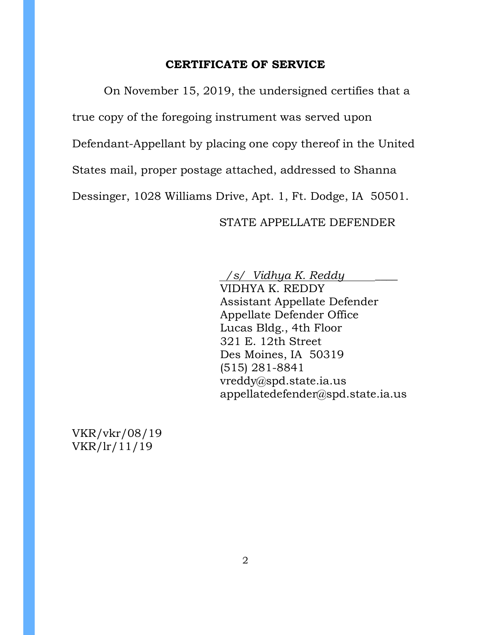#### **CERTIFICATE OF SERVICE**

On November 15, 2019, the undersigned certifies that a true copy of the foregoing instrument was served upon Defendant-Appellant by placing one copy thereof in the United States mail, proper postage attached, addressed to Shanna Dessinger, 1028 Williams Drive, Apt. 1, Ft. Dodge, IA 50501.

# STATE APPELLATE DEFENDER

 */s/ Vidhya K. Reddy \_\_\_\_*

VIDHYA K. REDDY Assistant Appellate Defender Appellate Defender Office Lucas Bldg., 4th Floor 321 E. 12th Street Des Moines, IA 50319 (515) 281-8841 vreddy@spd.state.ia.us appellatedefender@spd.state.ia.us

VKR/vkr/08/19 VKR/lr/11/19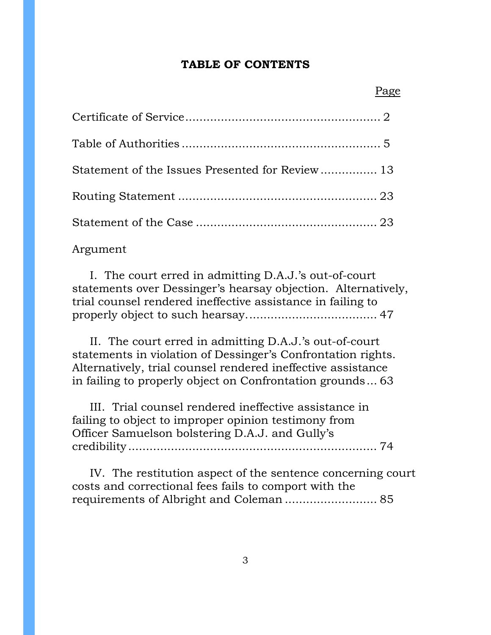#### **TABLE OF CONTENTS**

| Statement of the Issues Presented for Review 13 |  |
|-------------------------------------------------|--|
|                                                 |  |
|                                                 |  |

### Argument

 I. The court erred in admitting D.A.J.'s out-of-court statements over Dessinger's hearsay objection. Alternatively, trial counsel rendered ineffective assistance in failing to properly object to such hearsay..................................... 47

 II. The court erred in admitting D.A.J.'s out-of-court statements in violation of Dessinger's Confrontation rights. Alternatively, trial counsel rendered ineffective assistance in failing to properly object on Confrontation grounds... 63

 III. Trial counsel rendered ineffective assistance in failing to object to improper opinion testimony from Officer Samuelson bolstering D.A.J. and Gully's credibility ...................................................................... 74

 IV. The restitution aspect of the sentence concerning court costs and correctional fees fails to comport with the requirements of Albright and Coleman .......................... 85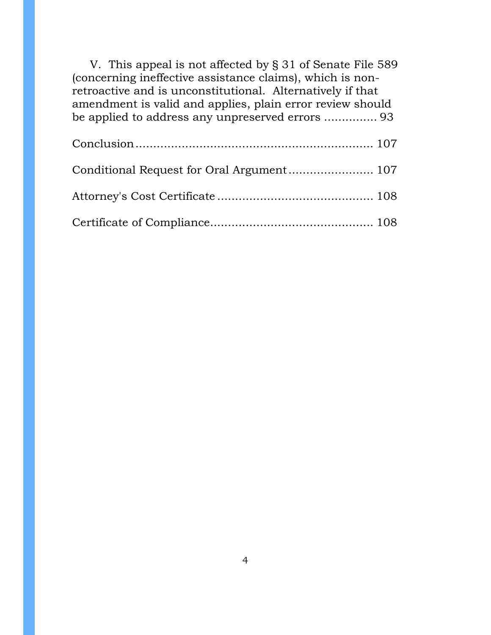| V. This appeal is not affected by § 31 of Senate File 589  |
|------------------------------------------------------------|
| (concerning ineffective assistance claims), which is non-  |
| retroactive and is unconstitutional. Alternatively if that |
| amendment is valid and applies, plain error review should  |
|                                                            |
|                                                            |
|                                                            |
|                                                            |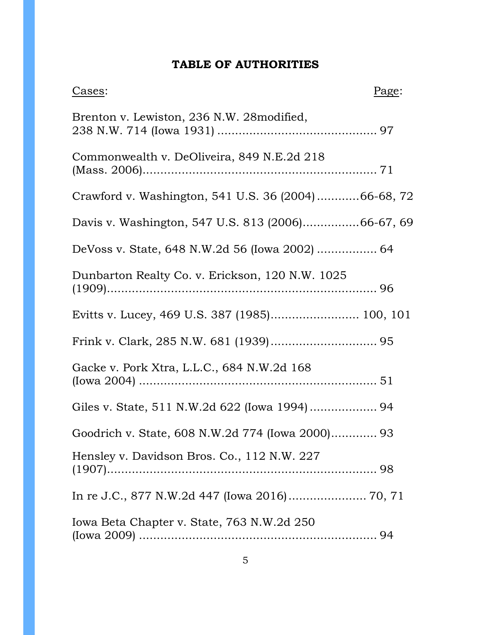# **TABLE OF AUTHORITIES**

| Cases:                                              | Page: |
|-----------------------------------------------------|-------|
| Brenton v. Lewiston, 236 N.W. 28 modified,          |       |
| Commonwealth v. DeOliveira, 849 N.E.2d 218          |       |
| Crawford v. Washington, 541 U.S. 36 (2004)66-68, 72 |       |
| Davis v. Washington, 547 U.S. 813 (2006)66-67, 69   |       |
|                                                     |       |
| Dunbarton Realty Co. v. Erickson, 120 N.W. 1025     |       |
| Evitts v. Lucey, 469 U.S. 387 (1985) 100, 101       |       |
|                                                     |       |
| Gacke v. Pork Xtra, L.L.C., 684 N.W.2d 168          |       |
| Giles v. State, 511 N.W.2d 622 (Iowa 1994) 94       |       |
| Goodrich v. State, 608 N.W.2d 774 (Iowa 2000) 93    |       |
| Hensley v. Davidson Bros. Co., 112 N.W. 227         |       |
| In re J.C., 877 N.W.2d 447 (Iowa 2016) 70, 71       |       |
| Iowa Beta Chapter v. State, 763 N.W.2d 250          |       |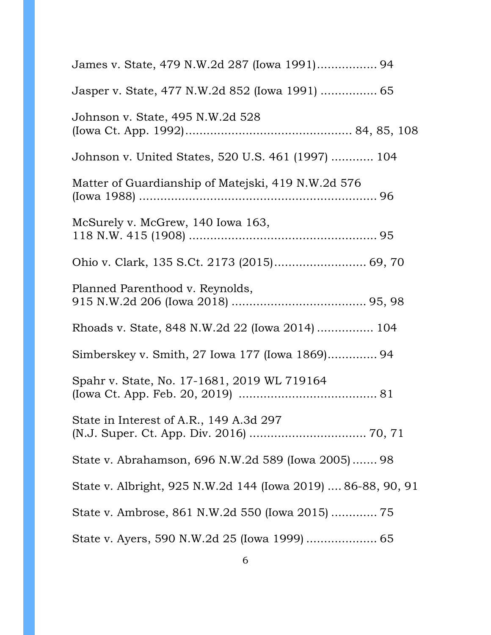| James v. State, 479 N.W.2d 287 (Iowa 1991) 94                |
|--------------------------------------------------------------|
| Jasper v. State, 477 N.W.2d 852 (Iowa 1991)  65              |
| Johnson v. State, 495 N.W.2d 528                             |
| Johnson v. United States, 520 U.S. 461 (1997)  104           |
| Matter of Guardianship of Matejski, 419 N.W.2d 576           |
| McSurely v. McGrew, 140 Iowa 163,                            |
| Ohio v. Clark, 135 S.Ct. 2173 (2015) 69, 70                  |
| Planned Parenthood v. Reynolds,                              |
| Rhoads v. State, 848 N.W.2d 22 (Iowa 2014)  104              |
| Simberskey v. Smith, 27 Iowa 177 (Iowa 1869) 94              |
| Spahr v. State, No. 17-1681, 2019 WL 719164                  |
| State in Interest of A.R., 149 A.3d 297                      |
| State v. Abrahamson, 696 N.W.2d 589 (Iowa 2005) 98           |
| State v. Albright, 925 N.W.2d 144 (Iowa 2019)  86-88, 90, 91 |
|                                                              |
|                                                              |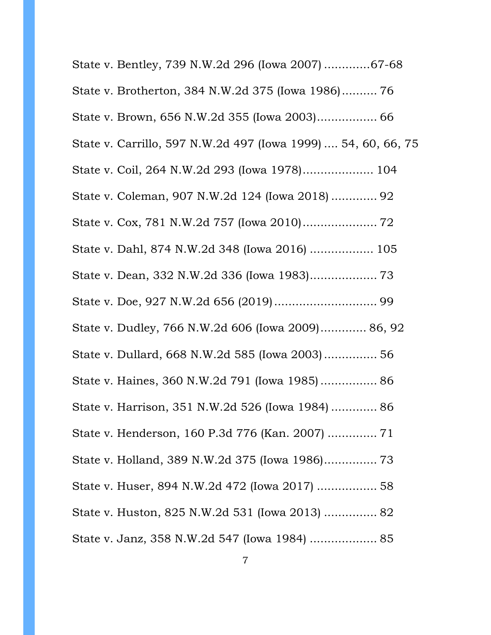| State v. Bentley, 739 N.W.2d 296 (Iowa 2007) 67-68            |
|---------------------------------------------------------------|
| State v. Brotherton, 384 N.W.2d 375 (Iowa 1986) 76            |
|                                                               |
| State v. Carrillo, 597 N.W.2d 497 (Iowa 1999)  54, 60, 66, 75 |
| State v. Coil, 264 N.W.2d 293 (Iowa 1978) 104                 |
| State v. Coleman, 907 N.W.2d 124 (Iowa 2018)  92              |
|                                                               |
| State v. Dahl, 874 N.W.2d 348 (Iowa 2016)  105                |
|                                                               |
|                                                               |
| State v. Dudley, 766 N.W.2d 606 (Iowa 2009) 86, 92            |
| State v. Dullard, 668 N.W.2d 585 (Iowa 2003) 56               |
| State v. Haines, 360 N.W.2d 791 (Iowa 1985) 86                |
| State v. Harrison, 351 N.W.2d 526 (Iowa 1984)  86             |
| State v. Henderson, 160 P.3d 776 (Kan. 2007)  71              |
| State v. Holland, 389 N.W.2d 375 (Iowa 1986) 73               |
| State v. Huser, 894 N.W.2d 472 (Iowa 2017)  58                |
| State v. Huston, 825 N.W.2d 531 (Iowa 2013)  82               |
| State v. Janz, 358 N.W.2d 547 (Iowa 1984)  85                 |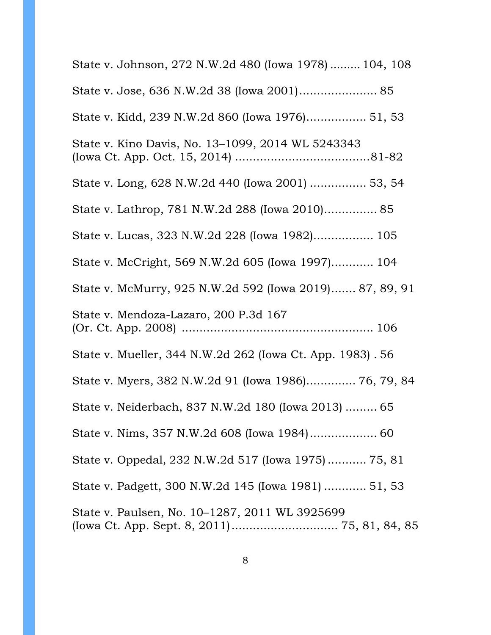| State v. Johnson, 272 N.W.2d 480 (Iowa 1978)  104, 108                                         |
|------------------------------------------------------------------------------------------------|
| State v. Jose, 636 N.W.2d 38 (Iowa 2001) 85                                                    |
| State v. Kidd, 239 N.W.2d 860 (Iowa 1976) 51, 53                                               |
| State v. Kino Davis, No. 13-1099, 2014 WL 5243343                                              |
| State v. Long, 628 N.W.2d 440 (Iowa 2001)  53, 54                                              |
| State v. Lathrop, 781 N.W.2d 288 (Iowa 2010) 85                                                |
| State v. Lucas, 323 N.W.2d 228 (Iowa 1982) 105                                                 |
| State v. McCright, 569 N.W.2d 605 (Iowa 1997) 104                                              |
| State v. McMurry, 925 N.W.2d 592 (Iowa 2019) 87, 89, 91                                        |
| State v. Mendoza-Lazaro, 200 P.3d 167                                                          |
| State v. Mueller, 344 N.W.2d 262 (Iowa Ct. App. 1983). 56                                      |
| State v. Myers, 382 N.W.2d 91 (Iowa 1986) 76, 79, 84                                           |
| State v. Neiderbach, 837 N.W.2d 180 (Iowa 2013)  65                                            |
|                                                                                                |
| State v. Oppedal, 232 N.W.2d 517 (Iowa 1975) 75, 81                                            |
| State v. Padgett, 300 N.W.2d 145 (Iowa 1981)  51, 53                                           |
| State v. Paulsen, No. 10–1287, 2011 WL 3925699<br>(Iowa Ct. App. Sept. 8, 2011) 75, 81, 84, 85 |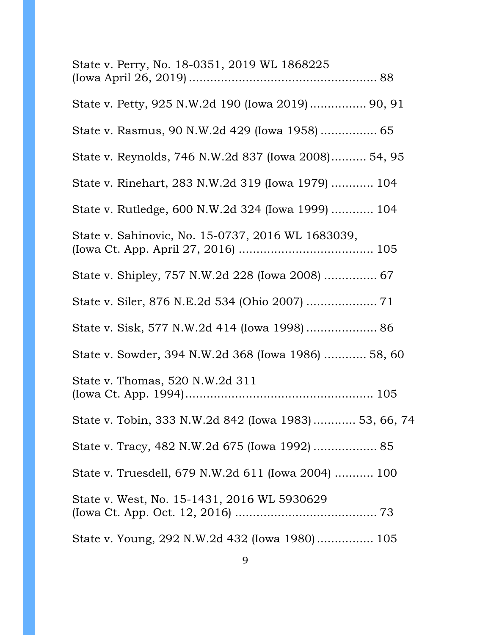| State v. Perry, No. 18-0351, 2019 WL 1868225           |  |
|--------------------------------------------------------|--|
| State v. Petty, 925 N.W.2d 190 (Iowa 2019) 90, 91      |  |
| State v. Rasmus, 90 N.W.2d 429 (Iowa 1958)  65         |  |
| State v. Reynolds, 746 N.W.2d 837 (Iowa 2008) 54, 95   |  |
| State v. Rinehart, 283 N.W.2d 319 (Iowa 1979)  104     |  |
| State v. Rutledge, 600 N.W.2d 324 (Iowa 1999)  104     |  |
| State v. Sahinovic, No. 15-0737, 2016 WL 1683039,      |  |
|                                                        |  |
|                                                        |  |
|                                                        |  |
| State v. Sowder, 394 N.W.2d 368 (Iowa 1986)  58, 60    |  |
| State v. Thomas, 520 N.W.2d 311                        |  |
| State v. Tobin, 333 N.W.2d 842 (Iowa 1983)  53, 66, 74 |  |
| State v. Tracy, 482 N.W.2d 675 (Iowa 1992)  85         |  |
| State v. Truesdell, 679 N.W.2d 611 (Iowa 2004)  100    |  |
| State v. West, No. 15-1431, 2016 WL 5930629            |  |
| State v. Young, 292 N.W.2d 432 (Iowa 1980) 105         |  |
|                                                        |  |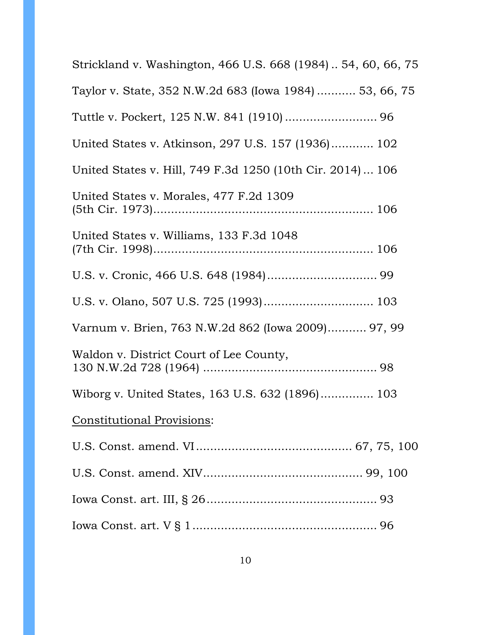| Strickland v. Washington, 466 U.S. 668 (1984)  54, 60, 66, 75 |
|---------------------------------------------------------------|
| Taylor v. State, 352 N.W.2d 683 (Iowa 1984)  53, 66, 75       |
|                                                               |
| United States v. Atkinson, 297 U.S. 157 (1936) 102            |
| United States v. Hill, 749 F.3d 1250 (10th Cir. 2014)  106    |
| United States v. Morales, 477 F.2d 1309                       |
| United States v. Williams, 133 F.3d 1048                      |
|                                                               |
| U.S. v. Olano, 507 U.S. 725 (1993) 103                        |
| Varnum v. Brien, 763 N.W.2d 862 (Iowa 2009) 97, 99            |
| Waldon v. District Court of Lee County,                       |
| Wiborg v. United States, 163 U.S. 632 (1896) 103              |
| <b>Constitutional Provisions:</b>                             |
|                                                               |
|                                                               |
|                                                               |
|                                                               |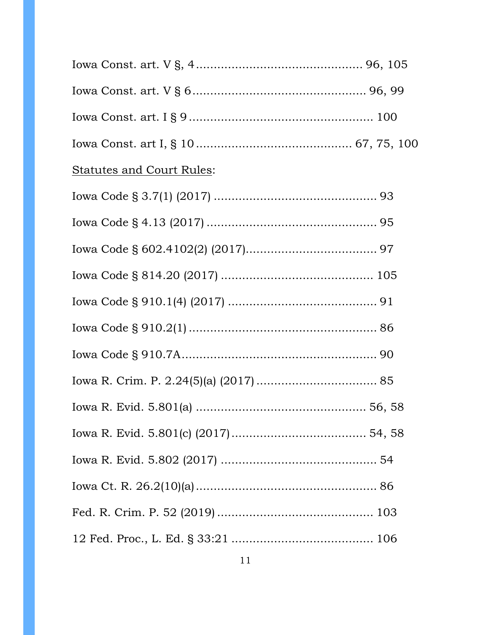| <b>Statutes and Court Rules:</b> |  |
|----------------------------------|--|
|                                  |  |
|                                  |  |
|                                  |  |
|                                  |  |
|                                  |  |
|                                  |  |
|                                  |  |
|                                  |  |
|                                  |  |
|                                  |  |
|                                  |  |
|                                  |  |
|                                  |  |
|                                  |  |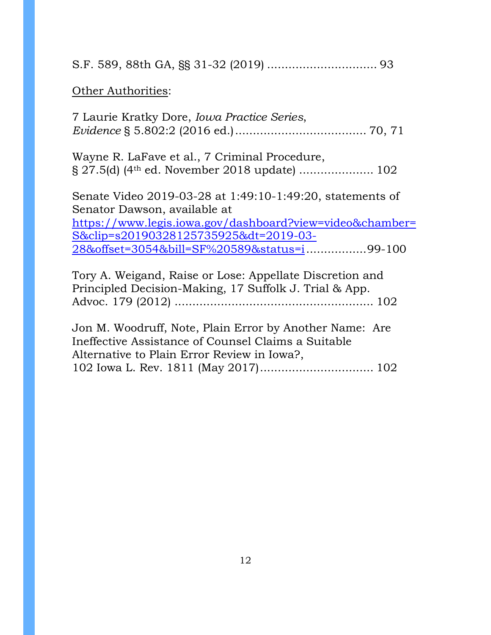S.F. 589, 88th GA, §§ 31-32 (2019) ............................... 93

# **Other Authorities:**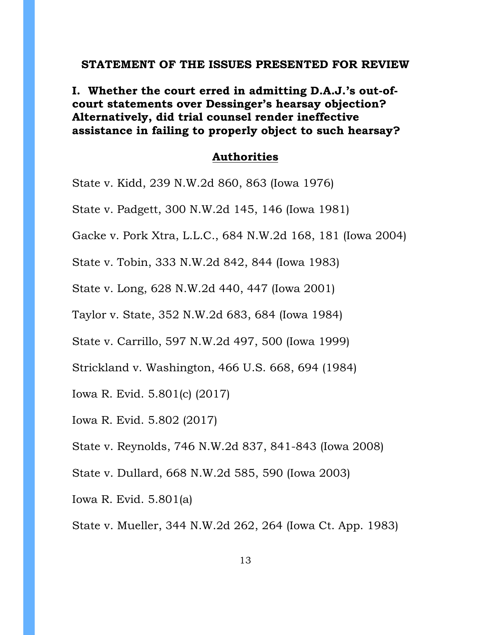#### **STATEMENT OF THE ISSUES PRESENTED FOR REVIEW**

**I. Whether the court erred in admitting D.A.J.'s out-ofcourt statements over Dessinger's hearsay objection? Alternatively, did trial counsel render ineffective assistance in failing to properly object to such hearsay?**

### **Authorities**

State v. Kidd, 239 N.W.2d 860, 863 (Iowa 1976)

State v. Padgett, 300 N.W.2d 145, 146 (Iowa 1981)

Gacke v. Pork Xtra, L.L.C., 684 N.W.2d 168, 181 (Iowa 2004)

State v. Tobin, 333 N.W.2d 842, 844 (Iowa 1983)

State v. Long, 628 N.W.2d 440, 447 (Iowa 2001)

Taylor v. State, 352 N.W.2d 683, 684 (Iowa 1984)

State v. Carrillo, 597 N.W.2d 497, 500 (Iowa 1999)

Strickland v. Washington, 466 U.S. 668, 694 (1984)

Iowa R. Evid. 5.801(c) (2017)

Iowa R. Evid. 5.802 (2017)

State v. Reynolds, 746 N.W.2d 837, 841-843 (Iowa 2008)

State v. Dullard, 668 N.W.2d 585, 590 (Iowa 2003)

Iowa R. Evid. 5.801(a)

State v. Mueller, 344 N.W.2d 262, 264 (Iowa Ct. App. 1983)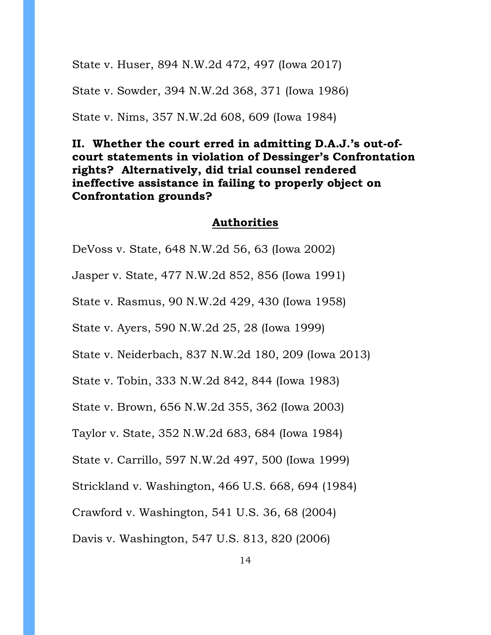State v. Huser, 894 N.W.2d 472, 497 (Iowa 2017)

State v. Sowder, 394 N.W.2d 368, 371 (Iowa 1986)

State v. Nims, 357 N.W.2d 608, 609 (Iowa 1984)

# **II. Whether the court erred in admitting D.A.J.'s out-ofcourt statements in violation of Dessinger's Confrontation rights? Alternatively, did trial counsel rendered ineffective assistance in failing to properly object on Confrontation grounds?**

#### **Authorities**

DeVoss v. State, 648 N.W.2d 56, 63 (Iowa 2002)

Jasper v. State, 477 N.W.2d 852, 856 (Iowa 1991)

State v. Rasmus, 90 N.W.2d 429, 430 (Iowa 1958)

State v. Ayers, 590 N.W.2d 25, 28 (Iowa 1999)

State v. Neiderbach, 837 N.W.2d 180, 209 (Iowa 2013)

State v. Tobin, 333 N.W.2d 842, 844 (Iowa 1983)

State v. Brown, 656 N.W.2d 355, 362 (Iowa 2003)

Taylor v. State, 352 N.W.2d 683, 684 (Iowa 1984)

State v. Carrillo, 597 N.W.2d 497, 500 (Iowa 1999)

Strickland v. Washington, 466 U.S. 668, 694 (1984)

Crawford v. Washington, 541 U.S. 36, 68 (2004)

Davis v. Washington, 547 U.S. 813, 820 (2006)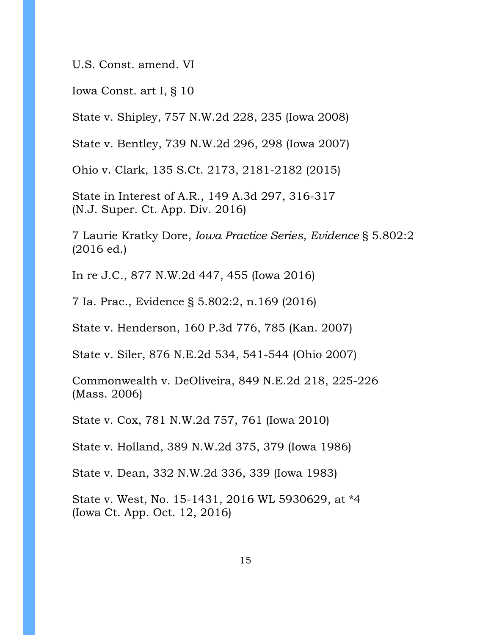U.S. Const. amend. VI

Iowa Const. art I, § 10

State v. Shipley, 757 N.W.2d 228, 235 (Iowa 2008)

State v. Bentley, 739 N.W.2d 296, 298 (Iowa 2007)

Ohio v. Clark, 135 S.Ct. 2173, 2181-2182 (2015)

State in Interest of A.R., 149 A.3d 297, 316-317 (N.J. Super. Ct. App. Div. 2016)

7 Laurie Kratky Dore, *Iowa Practice Series*, *Evidence* § 5.802:2 (2016 ed.)

In re J.C., 877 N.W.2d 447, 455 (Iowa 2016)

7 Ia. Prac., Evidence § 5.802:2, n.169 (2016)

State v. Henderson, 160 P.3d 776, 785 (Kan. 2007)

State v. Siler, 876 N.E.2d 534, 541-544 (Ohio 2007)

Commonwealth v. DeOliveira, 849 N.E.2d 218, 225-226 (Mass. 2006)

State v. Cox, 781 N.W.2d 757, 761 (Iowa 2010)

State v. Holland, 389 N.W.2d 375, 379 (Iowa 1986)

State v. Dean, 332 N.W.2d 336, 339 (Iowa 1983)

State v. West, No. 15-1431, 2016 WL 5930629, at \*4 (Iowa Ct. App. Oct. 12, 2016)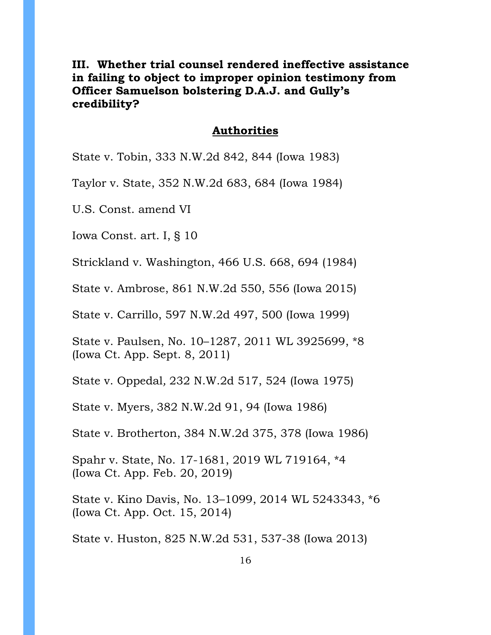**III. Whether trial counsel rendered ineffective assistance in failing to object to improper opinion testimony from Officer Samuelson bolstering D.A.J. and Gully's credibility?**

#### **Authorities**

State v. Tobin, 333 N.W.2d 842, 844 (Iowa 1983)

Taylor v. State, 352 N.W.2d 683, 684 (Iowa 1984)

U.S. Const. amend VI

Iowa Const. art. I, § 10

Strickland v. Washington, 466 U.S. 668, 694 (1984)

State v. Ambrose, 861 N.W.2d 550, 556 (Iowa 2015)

State v. Carrillo, 597 N.W.2d 497, 500 (Iowa 1999)

State v. Paulsen, No. 10–1287, 2011 WL 3925699, \*8 (Iowa Ct. App. Sept. 8, 2011)

State v. Oppedal*,* 232 N.W.2d 517, 524 (Iowa 1975)

State v. Myers*,* 382 N.W.2d 91, 94 (Iowa 1986)

State v. Brotherton, 384 N.W.2d 375, 378 (Iowa 1986)

Spahr v. State, No. 17-1681, 2019 WL 719164, \*4 (Iowa Ct. App. Feb. 20, 2019)

State v. Kino Davis, No. 13–1099, 2014 WL 5243343, \*6 (Iowa Ct. App. Oct. 15, 2014)

State v. Huston, 825 N.W.2d 531, 537-38 (Iowa 2013)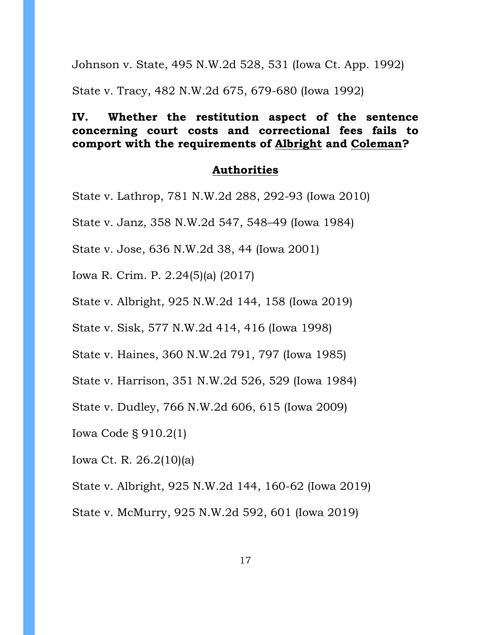Johnson v. State, 495 N.W.2d 528, 531 (Iowa Ct. App. 1992)

State v. Tracy, 482 N.W.2d 675, 679-680 (Iowa 1992)

# **IV. Whether the restitution aspect of the sentence concerning court costs and correctional fees fails to comport with the requirements of Albright and Coleman?**

#### **Authorities**

- State v. Lathrop, 781 N.W.2d 288, 292-93 (Iowa 2010)
- State v. Janz, 358 N.W.2d 547, 548–49 (Iowa 1984)
- State v. Jose, 636 N.W.2d 38, 44 (Iowa 2001)
- Iowa R. Crim. P. 2.24(5)(a) (2017)
- State v. Albright, 925 N.W.2d 144, 158 (Iowa 2019)
- State v. Sisk, 577 N.W.2d 414, 416 (Iowa 1998)
- State v. Haines, 360 N.W.2d 791, 797 (Iowa 1985)
- State v. Harrison, 351 N.W.2d 526, 529 (Iowa 1984)
- State v. Dudley, 766 N.W.2d 606, 615 (Iowa 2009)
- Iowa Code § 910.2(1)
- Iowa Ct. R. 26.2(10)(a)
- State v. Albright, 925 N.W.2d 144, 160-62 (Iowa 2019)
- State v. McMurry, 925 N.W.2d 592, 601 (Iowa 2019)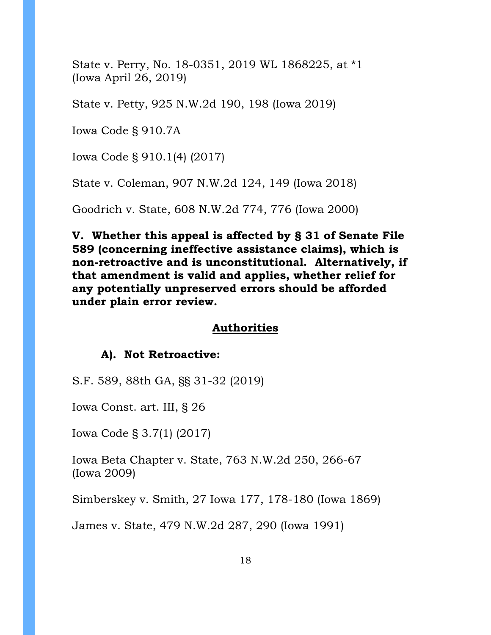State v. Perry, No. 18-0351, 2019 WL 1868225, at \*1 (Iowa April 26, 2019)

State v. Petty, 925 N.W.2d 190, 198 (Iowa 2019)

Iowa Code § 910.7A

Iowa Code § 910.1(4) (2017)

State v. Coleman, 907 N.W.2d 124, 149 (Iowa 2018)

Goodrich v. State, 608 N.W.2d 774, 776 (Iowa 2000)

**V. Whether this appeal is affected by § 31 of Senate File 589 (concerning ineffective assistance claims), which is non-retroactive and is unconstitutional. Alternatively, if that amendment is valid and applies, whether relief for any potentially unpreserved errors should be afforded under plain error review.**

### **Authorities**

#### **A). Not Retroactive:**

S.F. 589, 88th GA, §§ 31-32 (2019)

Iowa Const. art. III, § 26

Iowa Code § 3.7(1) (2017)

Iowa Beta Chapter v. State, 763 N.W.2d 250, 266-67 (Iowa 2009)

Simberskey v. Smith, 27 Iowa 177, 178-180 (Iowa 1869)

James v. State, 479 N.W.2d 287, 290 (Iowa 1991)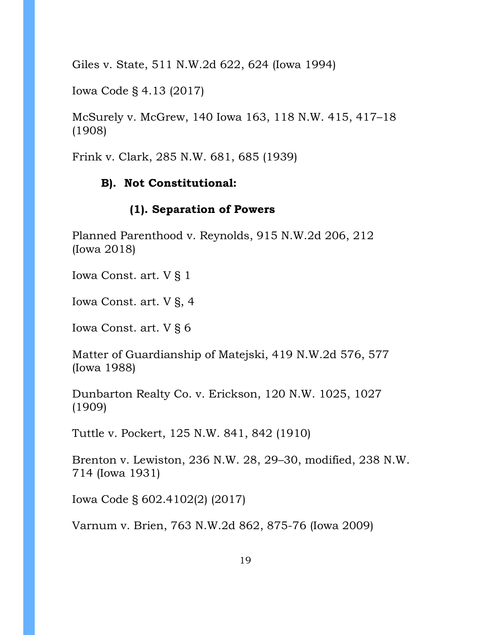Giles v. State, 511 N.W.2d 622, 624 (Iowa 1994)

Iowa Code § 4.13 (2017)

McSurely v. McGrew, 140 Iowa 163, 118 N.W. 415, 417–18 (1908)

Frink v. Clark, 285 N.W. 681, 685 (1939)

# **B). Not Constitutional:**

# **(1). Separation of Powers**

Planned Parenthood v. Reynolds, 915 N.W.2d 206, 212 (Iowa 2018)

Iowa Const. art. V § 1

Iowa Const. art. V §, 4

Iowa Const. art. V § 6

Matter of Guardianship of Matejski, 419 N.W.2d 576, 577 (Iowa 1988)

Dunbarton Realty Co. v. Erickson, 120 N.W. 1025, 1027 (1909)

Tuttle v. Pockert, 125 N.W. 841, 842 (1910)

Brenton v. Lewiston, 236 N.W. 28, 29–30, modified, 238 N.W. 714 (Iowa 1931)

Iowa Code § 602.4102(2) (2017)

Varnum v. Brien, 763 N.W.2d 862, 875-76 (Iowa 2009)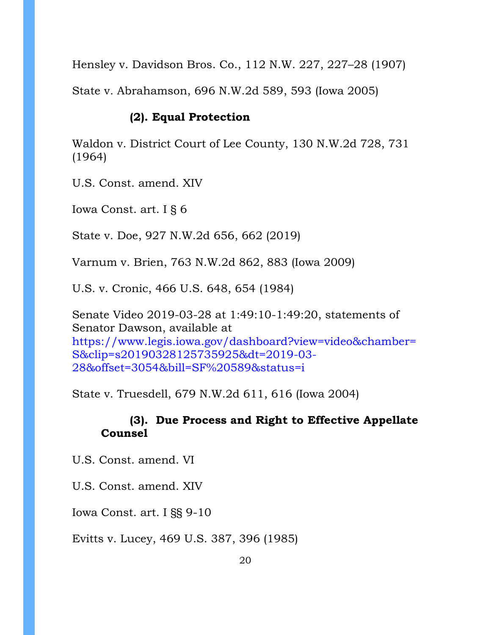Hensley v. Davidson Bros. Co., 112 N.W. 227, 227–28 (1907)

State v. Abrahamson, 696 N.W.2d 589, 593 (Iowa 2005)

## **(2). Equal Protection**

Waldon v. District Court of Lee County, 130 N.W.2d 728, 731 (1964)

U.S. Const. amend. XIV

Iowa Const. art. I § 6

State v. Doe, 927 N.W.2d 656, 662 (2019)

Varnum v. Brien, 763 N.W.2d 862, 883 (Iowa 2009)

U.S. v. Cronic, 466 U.S. 648, 654 (1984)

Senate Video 2019-03-28 at 1:49:10-1:49:20, statements of Senator Dawson, available at [https://www.legis.iowa.gov/dashboard?view=video&chamber=](https://www.legis.iowa.gov/dashboard?view=video&chamber=S&clip=s20190328125735925&dt=2019-03-28&offset=3054&bill=SF%20589&status=i) [S&clip=s20190328125735925&dt=2019-03-](https://www.legis.iowa.gov/dashboard?view=video&chamber=S&clip=s20190328125735925&dt=2019-03-28&offset=3054&bill=SF%20589&status=i) [28&offset=3054&bill=SF%20589&status=i](https://www.legis.iowa.gov/dashboard?view=video&chamber=S&clip=s20190328125735925&dt=2019-03-28&offset=3054&bill=SF%20589&status=i)

State v. Truesdell, 679 N.W.2d 611, 616 (Iowa 2004)

# **(3). Due Process and Right to Effective Appellate Counsel**

U.S. Const. amend. VI

U.S. Const. amend. XIV

Iowa Const. art. I §§ 9-10

Evitts v. Lucey, 469 U.S. 387, 396 (1985)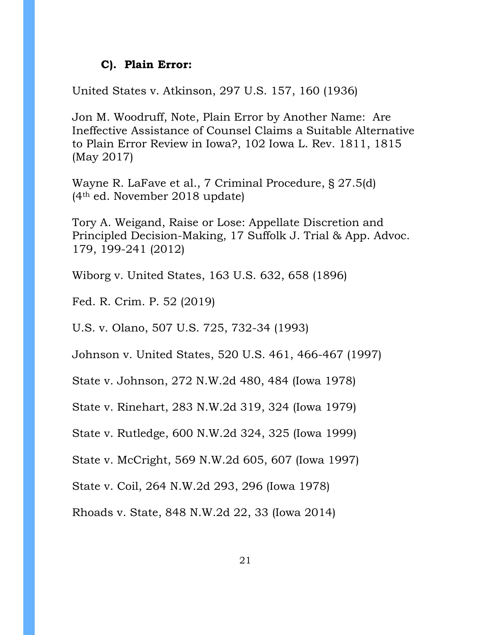### **C). Plain Error:**

United States v. Atkinson, 297 U.S. 157, 160 (1936)

Jon M. Woodruff, Note, Plain Error by Another Name: Are Ineffective Assistance of Counsel Claims a Suitable Alternative to Plain Error Review in Iowa?, 102 Iowa L. Rev. 1811, 1815 (May 2017)

Wayne R. LaFave et al., 7 Criminal Procedure, § 27.5(d) (4th ed. November 2018 update)

Tory A. Weigand, Raise or Lose: Appellate Discretion and Principled Decision-Making, 17 Suffolk J. Trial & App. Advoc. 179, 199-241 (2012)

Wiborg v. United States, 163 U.S. 632, 658 (1896)

Fed. R. Crim. P. 52 (2019)

U.S. v. Olano, 507 U.S. 725, 732-34 (1993)

Johnson v. United States, 520 U.S. 461, 466-467 (1997)

State v. Johnson, 272 N.W.2d 480, 484 (Iowa 1978)

State v. Rinehart, 283 N.W.2d 319, 324 (Iowa 1979)

State v. Rutledge, 600 N.W.2d 324, 325 (Iowa 1999)

State v. McCright, 569 N.W.2d 605, 607 (Iowa 1997)

State v. Coil, 264 N.W.2d 293, 296 (Iowa 1978)

Rhoads v. State, 848 N.W.2d 22, 33 (Iowa 2014)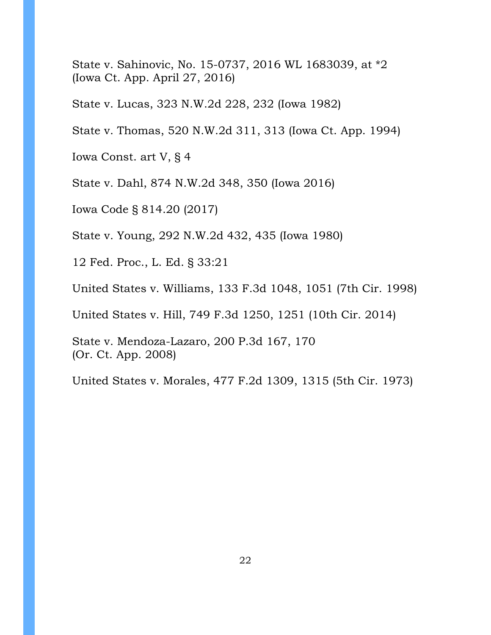State v. Sahinovic, No. 15-0737, 2016 WL 1683039, at \*2 (Iowa Ct. App. April 27, 2016)

State v. Lucas, 323 N.W.2d 228, 232 (Iowa 1982)

State v. Thomas, 520 N.W.2d 311, 313 (Iowa Ct. App. 1994)

Iowa Const. art V, § 4

State v. Dahl, 874 N.W.2d 348, 350 (Iowa 2016)

Iowa Code § 814.20 (2017)

State v. Young, 292 N.W.2d 432, 435 (Iowa 1980)

12 Fed. Proc., L. Ed. § 33:21

United States v. Williams, 133 F.3d 1048, 1051 (7th Cir. 1998)

United States v. Hill, 749 F.3d 1250, 1251 (10th Cir. 2014)

State v. Mendoza-Lazaro, 200 P.3d 167, 170 (Or. Ct. App. 2008)

United States v. Morales, 477 F.2d 1309, 1315 (5th Cir. 1973)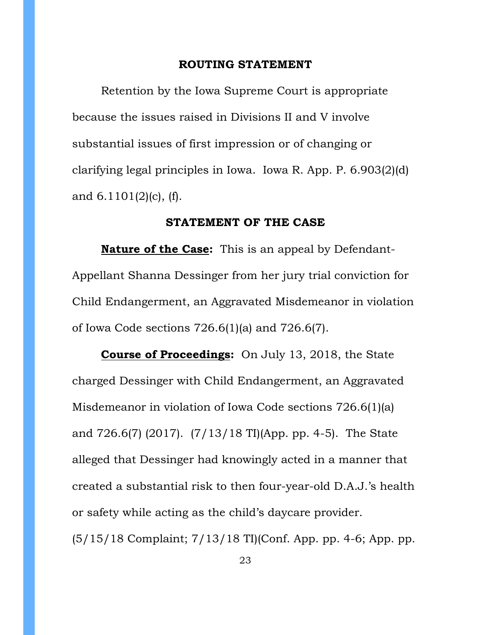#### **ROUTING STATEMENT**

Retention by the Iowa Supreme Court is appropriate because the issues raised in Divisions II and V involve substantial issues of first impression or of changing or clarifying legal principles in Iowa. Iowa R. App. P. 6.903(2)(d) and 6.1101(2)(c), (f).

#### **STATEMENT OF THE CASE**

**Nature of the Case:** This is an appeal by Defendant-Appellant Shanna Dessinger from her jury trial conviction for Child Endangerment, an Aggravated Misdemeanor in violation of Iowa Code sections 726.6(1)(a) and 726.6(7).

**Course of Proceedings:** On July 13, 2018, the State charged Dessinger with Child Endangerment, an Aggravated Misdemeanor in violation of Iowa Code sections 726.6(1)(a) and 726.6(7) (2017). (7/13/18 TI)(App. pp. 4-5). The State alleged that Dessinger had knowingly acted in a manner that created a substantial risk to then four-year-old D.A.J.'s health or safety while acting as the child's daycare provider. (5/15/18 Complaint; 7/13/18 TI)(Conf. App. pp. 4-6; App. pp.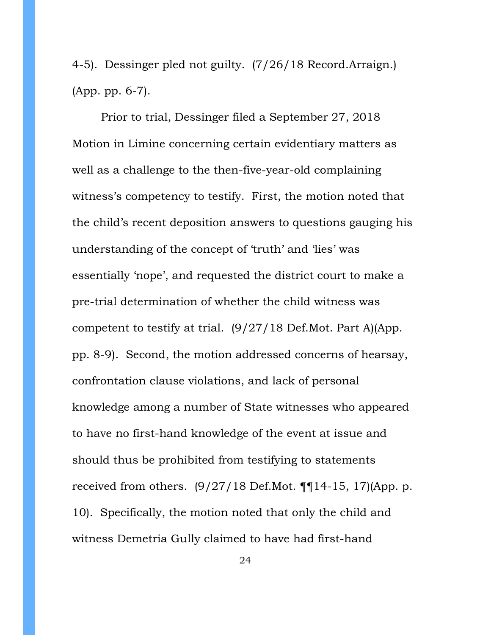4-5). Dessinger pled not guilty. (7/26/18 Record.Arraign.) (App. pp. 6-7).

Prior to trial, Dessinger filed a September 27, 2018 Motion in Limine concerning certain evidentiary matters as well as a challenge to the then-five-year-old complaining witness's competency to testify. First, the motion noted that the child's recent deposition answers to questions gauging his understanding of the concept of 'truth' and 'lies' was essentially 'nope', and requested the district court to make a pre-trial determination of whether the child witness was competent to testify at trial. (9/27/18 Def.Mot. Part A)(App. pp. 8-9). Second, the motion addressed concerns of hearsay, confrontation clause violations, and lack of personal knowledge among a number of State witnesses who appeared to have no first-hand knowledge of the event at issue and should thus be prohibited from testifying to statements received from others.  $(9/27/18 \text{ Def.Mot. } \P \P 14-15, 17)$ (App. p. 10). Specifically, the motion noted that only the child and witness Demetria Gully claimed to have had first-hand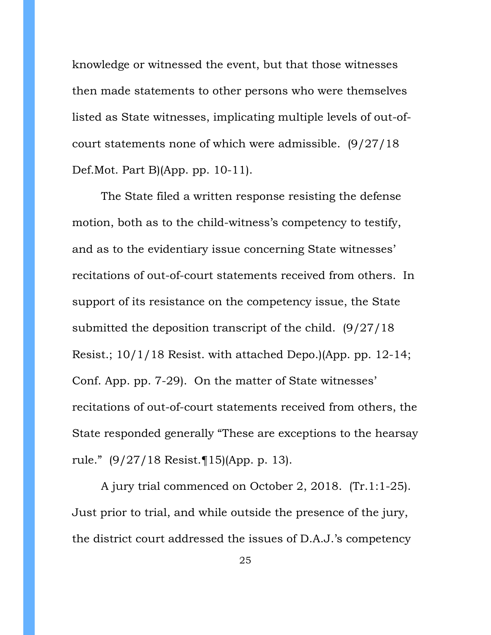knowledge or witnessed the event, but that those witnesses then made statements to other persons who were themselves listed as State witnesses, implicating multiple levels of out-ofcourt statements none of which were admissible. (9/27/18 Def.Mot. Part B)(App. pp. 10-11).

The State filed a written response resisting the defense motion, both as to the child-witness's competency to testify, and as to the evidentiary issue concerning State witnesses' recitations of out-of-court statements received from others. In support of its resistance on the competency issue, the State submitted the deposition transcript of the child. (9/27/18 Resist.; 10/1/18 Resist. with attached Depo.)(App. pp. 12-14; Conf. App. pp. 7-29). On the matter of State witnesses' recitations of out-of-court statements received from others, the State responded generally "These are exceptions to the hearsay rule." (9/27/18 Resist.¶15)(App. p. 13).

A jury trial commenced on October 2, 2018. (Tr.1:1-25). Just prior to trial, and while outside the presence of the jury, the district court addressed the issues of D.A.J.'s competency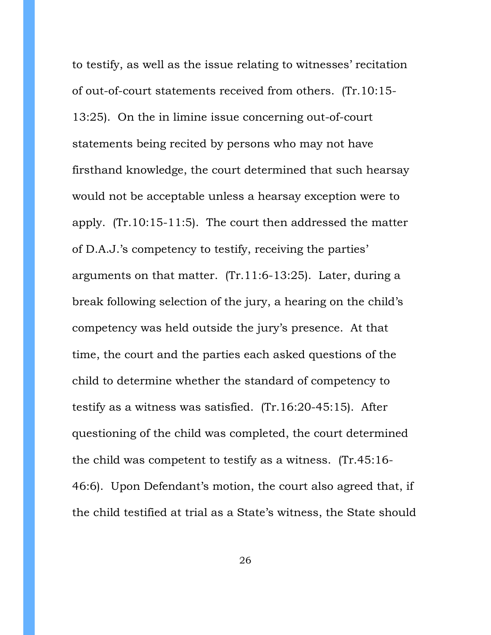to testify, as well as the issue relating to witnesses' recitation of out-of-court statements received from others. (Tr.10:15- 13:25). On the in limine issue concerning out-of-court statements being recited by persons who may not have firsthand knowledge, the court determined that such hearsay would not be acceptable unless a hearsay exception were to apply. (Tr.10:15-11:5). The court then addressed the matter of D.A.J.'s competency to testify, receiving the parties' arguments on that matter. (Tr.11:6-13:25). Later, during a break following selection of the jury, a hearing on the child's competency was held outside the jury's presence. At that time, the court and the parties each asked questions of the child to determine whether the standard of competency to testify as a witness was satisfied. (Tr.16:20-45:15). After questioning of the child was completed, the court determined the child was competent to testify as a witness. (Tr.45:16- 46:6). Upon Defendant's motion, the court also agreed that, if the child testified at trial as a State's witness, the State should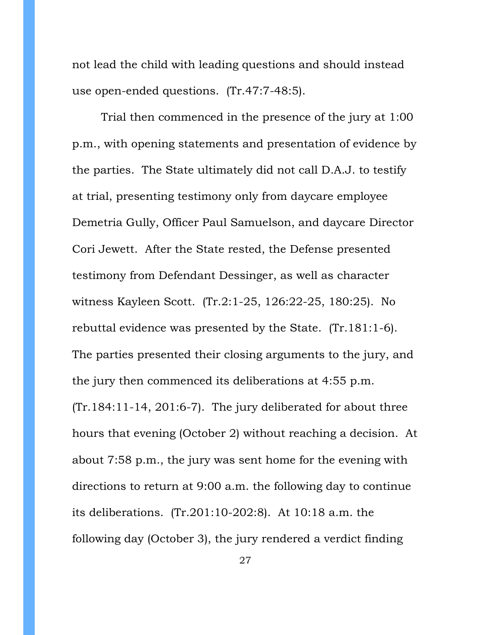not lead the child with leading questions and should instead use open-ended questions. (Tr.47:7-48:5).

Trial then commenced in the presence of the jury at 1:00 p.m., with opening statements and presentation of evidence by the parties. The State ultimately did not call D.A.J. to testify at trial, presenting testimony only from daycare employee Demetria Gully, Officer Paul Samuelson, and daycare Director Cori Jewett. After the State rested, the Defense presented testimony from Defendant Dessinger, as well as character witness Kayleen Scott. (Tr.2:1-25, 126:22-25, 180:25). No rebuttal evidence was presented by the State. (Tr.181:1-6). The parties presented their closing arguments to the jury, and the jury then commenced its deliberations at 4:55 p.m. (Tr.184:11-14, 201:6-7). The jury deliberated for about three hours that evening (October 2) without reaching a decision. At about 7:58 p.m., the jury was sent home for the evening with directions to return at 9:00 a.m. the following day to continue its deliberations. (Tr.201:10-202:8). At 10:18 a.m. the following day (October 3), the jury rendered a verdict finding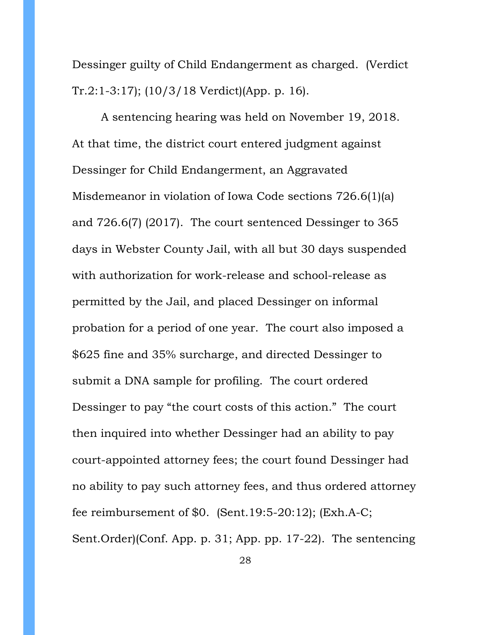Dessinger guilty of Child Endangerment as charged. (Verdict Tr.2:1-3:17); (10/3/18 Verdict)(App. p. 16).

A sentencing hearing was held on November 19, 2018. At that time, the district court entered judgment against Dessinger for Child Endangerment, an Aggravated Misdemeanor in violation of Iowa Code sections 726.6(1)(a) and 726.6(7) (2017). The court sentenced Dessinger to 365 days in Webster County Jail, with all but 30 days suspended with authorization for work-release and school-release as permitted by the Jail, and placed Dessinger on informal probation for a period of one year. The court also imposed a \$625 fine and 35% surcharge, and directed Dessinger to submit a DNA sample for profiling. The court ordered Dessinger to pay "the court costs of this action." The court then inquired into whether Dessinger had an ability to pay court-appointed attorney fees; the court found Dessinger had no ability to pay such attorney fees, and thus ordered attorney fee reimbursement of \$0. (Sent.19:5-20:12); (Exh.A-C; Sent.Order)(Conf. App. p. 31; App. pp. 17-22). The sentencing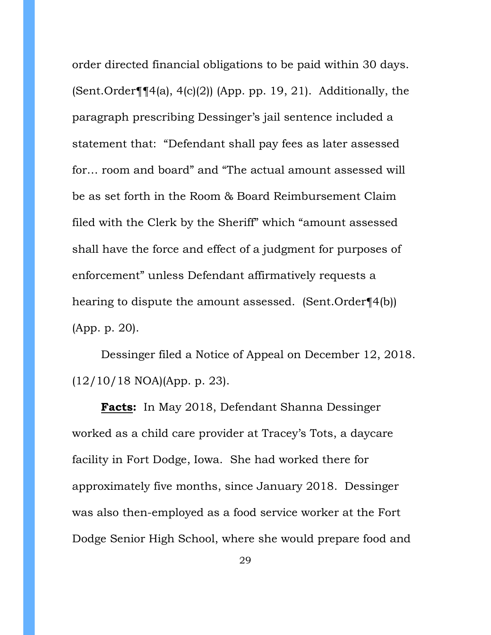order directed financial obligations to be paid within 30 days. (Sent.Order $\P\P(4(a), 4(c)(2))$  (App. pp. 19, 21). Additionally, the paragraph prescribing Dessinger's jail sentence included a statement that: "Defendant shall pay fees as later assessed for… room and board" and "The actual amount assessed will be as set forth in the Room & Board Reimbursement Claim filed with the Clerk by the Sheriff" which "amount assessed shall have the force and effect of a judgment for purposes of enforcement" unless Defendant affirmatively requests a hearing to dispute the amount assessed. (Sent.Order¶4(b)) (App. p. 20).

Dessinger filed a Notice of Appeal on December 12, 2018. (12/10/18 NOA)(App. p. 23).

**Facts:** In May 2018, Defendant Shanna Dessinger worked as a child care provider at Tracey's Tots, a daycare facility in Fort Dodge, Iowa. She had worked there for approximately five months, since January 2018. Dessinger was also then-employed as a food service worker at the Fort Dodge Senior High School, where she would prepare food and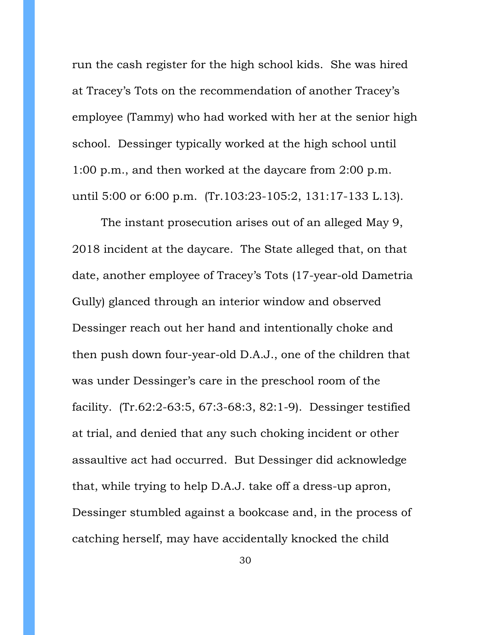run the cash register for the high school kids. She was hired at Tracey's Tots on the recommendation of another Tracey's employee (Tammy) who had worked with her at the senior high school. Dessinger typically worked at the high school until 1:00 p.m., and then worked at the daycare from 2:00 p.m. until 5:00 or 6:00 p.m. (Tr.103:23-105:2, 131:17-133 L.13).

The instant prosecution arises out of an alleged May 9, 2018 incident at the daycare. The State alleged that, on that date, another employee of Tracey's Tots (17-year-old Dametria Gully) glanced through an interior window and observed Dessinger reach out her hand and intentionally choke and then push down four-year-old D.A.J., one of the children that was under Dessinger's care in the preschool room of the facility. (Tr.62:2-63:5, 67:3-68:3, 82:1-9). Dessinger testified at trial, and denied that any such choking incident or other assaultive act had occurred. But Dessinger did acknowledge that, while trying to help D.A.J. take off a dress-up apron, Dessinger stumbled against a bookcase and, in the process of catching herself, may have accidentally knocked the child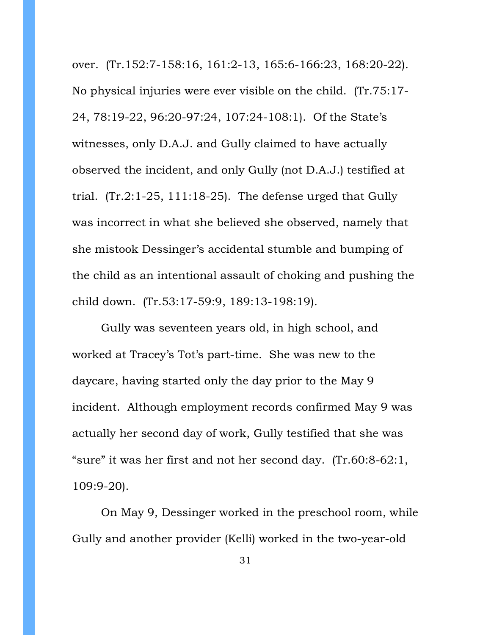over. (Tr.152:7-158:16, 161:2-13, 165:6-166:23, 168:20-22). No physical injuries were ever visible on the child. (Tr.75:17- 24, 78:19-22, 96:20-97:24, 107:24-108:1). Of the State's witnesses, only D.A.J. and Gully claimed to have actually observed the incident, and only Gully (not D.A.J.) testified at trial. (Tr.2:1-25, 111:18-25). The defense urged that Gully was incorrect in what she believed she observed, namely that she mistook Dessinger's accidental stumble and bumping of the child as an intentional assault of choking and pushing the child down. (Tr.53:17-59:9, 189:13-198:19).

Gully was seventeen years old, in high school, and worked at Tracey's Tot's part-time. She was new to the daycare, having started only the day prior to the May 9 incident. Although employment records confirmed May 9 was actually her second day of work, Gully testified that she was "sure" it was her first and not her second day. (Tr.60:8-62:1, 109:9-20).

On May 9, Dessinger worked in the preschool room, while Gully and another provider (Kelli) worked in the two-year-old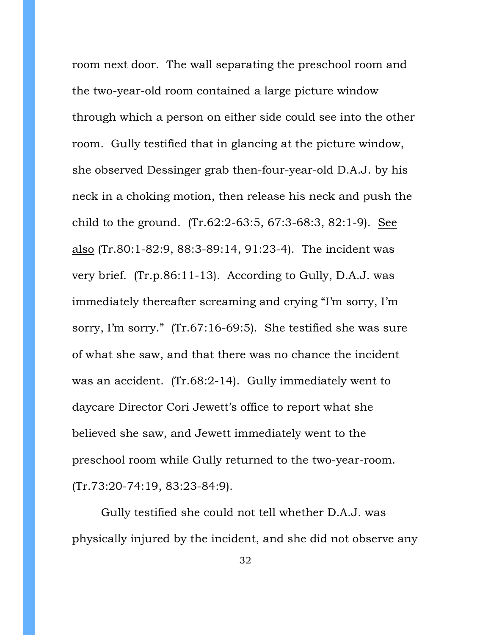room next door. The wall separating the preschool room and the two-year-old room contained a large picture window through which a person on either side could see into the other room. Gully testified that in glancing at the picture window, she observed Dessinger grab then-four-year-old D.A.J. by his neck in a choking motion, then release his neck and push the child to the ground. (Tr.62:2-63:5, 67:3-68:3, 82:1-9). See also (Tr.80:1-82:9, 88:3-89:14, 91:23-4). The incident was very brief. (Tr.p.86:11-13). According to Gully, D.A.J. was immediately thereafter screaming and crying "I'm sorry, I'm sorry, I'm sorry." (Tr.67:16-69:5). She testified she was sure of what she saw, and that there was no chance the incident was an accident. (Tr.68:2-14). Gully immediately went to daycare Director Cori Jewett's office to report what she believed she saw, and Jewett immediately went to the preschool room while Gully returned to the two-year-room. (Tr.73:20-74:19, 83:23-84:9).

Gully testified she could not tell whether D.A.J. was physically injured by the incident, and she did not observe any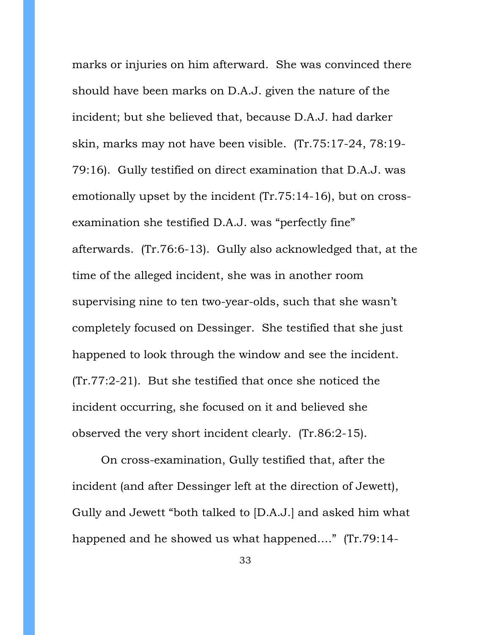marks or injuries on him afterward. She was convinced there should have been marks on D.A.J. given the nature of the incident; but she believed that, because D.A.J. had darker skin, marks may not have been visible. (Tr.75:17-24, 78:19- 79:16). Gully testified on direct examination that D.A.J. was emotionally upset by the incident (Tr.75:14-16), but on crossexamination she testified D.A.J. was "perfectly fine" afterwards. (Tr.76:6-13). Gully also acknowledged that, at the time of the alleged incident, she was in another room supervising nine to ten two-year-olds, such that she wasn't completely focused on Dessinger. She testified that she just happened to look through the window and see the incident. (Tr.77:2-21). But she testified that once she noticed the incident occurring, she focused on it and believed she observed the very short incident clearly. (Tr.86:2-15).

On cross-examination, Gully testified that, after the incident (and after Dessinger left at the direction of Jewett), Gully and Jewett "both talked to [D.A.J.] and asked him what happened and he showed us what happened…." (Tr.79:14-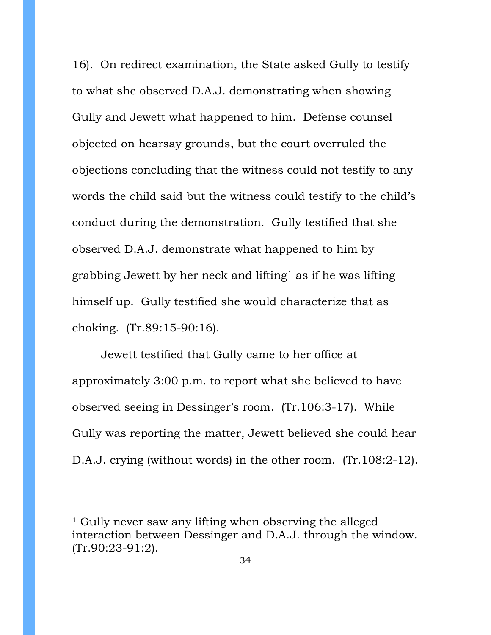16). On redirect examination, the State asked Gully to testify to what she observed D.A.J. demonstrating when showing Gully and Jewett what happened to him. Defense counsel objected on hearsay grounds, but the court overruled the objections concluding that the witness could not testify to any words the child said but the witness could testify to the child's conduct during the demonstration. Gully testified that she observed D.A.J. demonstrate what happened to him by grabbing Jewett by her neck and lifting<sup>[1](#page-33-0)</sup> as if he was lifting himself up. Gully testified she would characterize that as choking. (Tr.89:15-90:16).

Jewett testified that Gully came to her office at approximately 3:00 p.m. to report what she believed to have observed seeing in Dessinger's room. (Tr.106:3-17). While Gully was reporting the matter, Jewett believed she could hear D.A.J. crying (without words) in the other room. (Tr.108:2-12).

 $\overline{a}$ 

<span id="page-33-0"></span><sup>1</sup> Gully never saw any lifting when observing the alleged interaction between Dessinger and D.A.J. through the window. (Tr.90:23-91:2).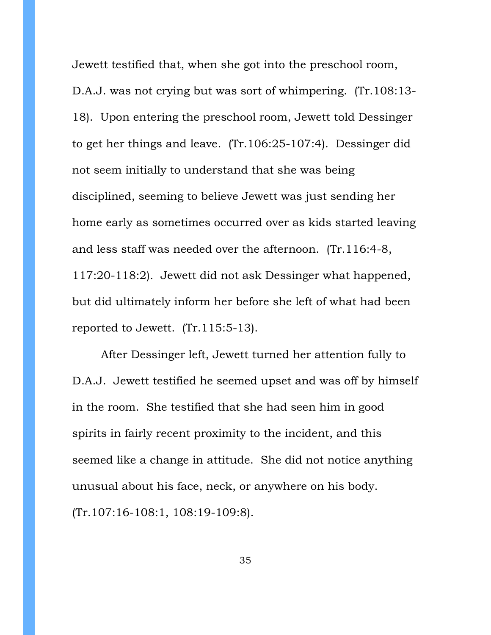Jewett testified that, when she got into the preschool room, D.A.J. was not crying but was sort of whimpering. (Tr.108:13- 18). Upon entering the preschool room, Jewett told Dessinger to get her things and leave. (Tr.106:25-107:4). Dessinger did not seem initially to understand that she was being disciplined, seeming to believe Jewett was just sending her home early as sometimes occurred over as kids started leaving and less staff was needed over the afternoon. (Tr.116:4-8, 117:20-118:2). Jewett did not ask Dessinger what happened, but did ultimately inform her before she left of what had been reported to Jewett. (Tr.115:5-13).

After Dessinger left, Jewett turned her attention fully to D.A.J. Jewett testified he seemed upset and was off by himself in the room. She testified that she had seen him in good spirits in fairly recent proximity to the incident, and this seemed like a change in attitude. She did not notice anything unusual about his face, neck, or anywhere on his body. (Tr.107:16-108:1, 108:19-109:8).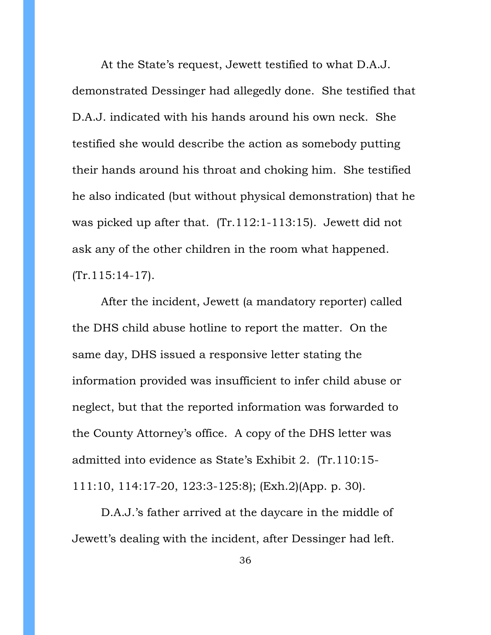At the State's request, Jewett testified to what D.A.J. demonstrated Dessinger had allegedly done. She testified that D.A.J. indicated with his hands around his own neck. She testified she would describe the action as somebody putting their hands around his throat and choking him. She testified he also indicated (but without physical demonstration) that he was picked up after that. (Tr.112:1-113:15). Jewett did not ask any of the other children in the room what happened. (Tr.115:14-17).

After the incident, Jewett (a mandatory reporter) called the DHS child abuse hotline to report the matter. On the same day, DHS issued a responsive letter stating the information provided was insufficient to infer child abuse or neglect, but that the reported information was forwarded to the County Attorney's office. A copy of the DHS letter was admitted into evidence as State's Exhibit 2. (Tr.110:15- 111:10, 114:17-20, 123:3-125:8); (Exh.2)(App. p. 30).

D.A.J.'s father arrived at the daycare in the middle of Jewett's dealing with the incident, after Dessinger had left.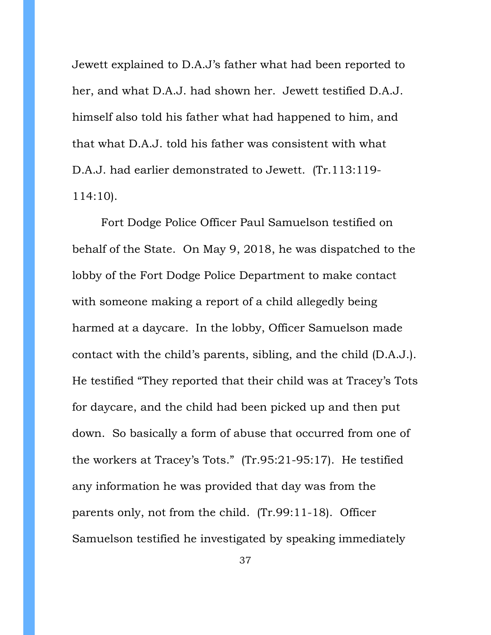Jewett explained to D.A.J's father what had been reported to her, and what D.A.J. had shown her. Jewett testified D.A.J. himself also told his father what had happened to him, and that what D.A.J. told his father was consistent with what D.A.J. had earlier demonstrated to Jewett. (Tr.113:119- 114:10).

Fort Dodge Police Officer Paul Samuelson testified on behalf of the State. On May 9, 2018, he was dispatched to the lobby of the Fort Dodge Police Department to make contact with someone making a report of a child allegedly being harmed at a daycare. In the lobby, Officer Samuelson made contact with the child's parents, sibling, and the child (D.A.J.). He testified "They reported that their child was at Tracey's Tots for daycare, and the child had been picked up and then put down. So basically a form of abuse that occurred from one of the workers at Tracey's Tots." (Tr.95:21-95:17). He testified any information he was provided that day was from the parents only, not from the child. (Tr.99:11-18). Officer Samuelson testified he investigated by speaking immediately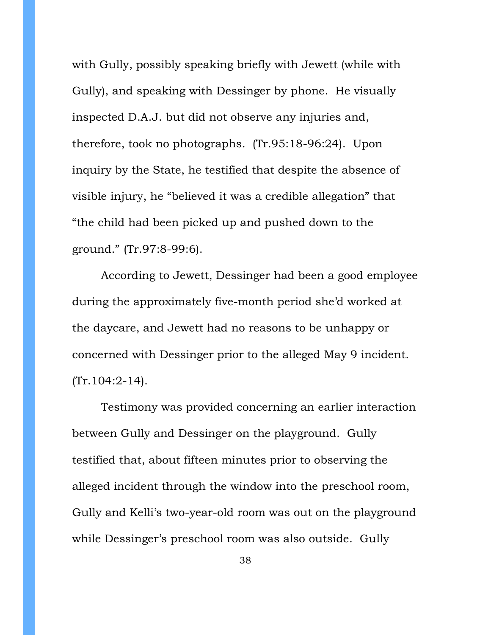with Gully, possibly speaking briefly with Jewett (while with Gully), and speaking with Dessinger by phone. He visually inspected D.A.J. but did not observe any injuries and, therefore, took no photographs. (Tr.95:18-96:24). Upon inquiry by the State, he testified that despite the absence of visible injury, he "believed it was a credible allegation" that "the child had been picked up and pushed down to the ground." (Tr.97:8-99:6).

According to Jewett, Dessinger had been a good employee during the approximately five-month period she'd worked at the daycare, and Jewett had no reasons to be unhappy or concerned with Dessinger prior to the alleged May 9 incident.  $(Tr.104:2-14)$ .

Testimony was provided concerning an earlier interaction between Gully and Dessinger on the playground. Gully testified that, about fifteen minutes prior to observing the alleged incident through the window into the preschool room, Gully and Kelli's two-year-old room was out on the playground while Dessinger's preschool room was also outside. Gully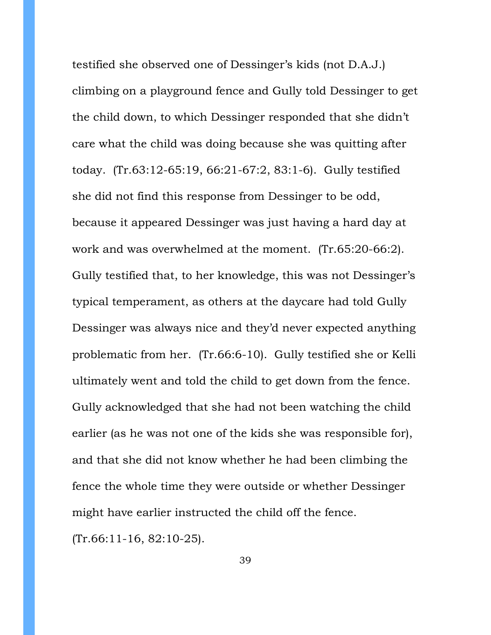testified she observed one of Dessinger's kids (not D.A.J.) climbing on a playground fence and Gully told Dessinger to get the child down, to which Dessinger responded that she didn't care what the child was doing because she was quitting after today. (Tr.63:12-65:19, 66:21-67:2, 83:1-6). Gully testified she did not find this response from Dessinger to be odd, because it appeared Dessinger was just having a hard day at work and was overwhelmed at the moment. (Tr.65:20-66:2). Gully testified that, to her knowledge, this was not Dessinger's typical temperament, as others at the daycare had told Gully Dessinger was always nice and they'd never expected anything problematic from her. (Tr.66:6-10). Gully testified she or Kelli ultimately went and told the child to get down from the fence. Gully acknowledged that she had not been watching the child earlier (as he was not one of the kids she was responsible for), and that she did not know whether he had been climbing the fence the whole time they were outside or whether Dessinger might have earlier instructed the child off the fence. (Tr.66:11-16, 82:10-25).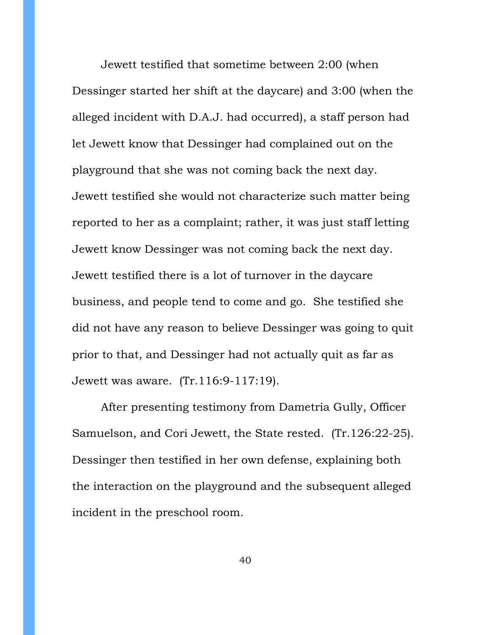Jewett testified that sometime between 2:00 (when Dessinger started her shift at the daycare) and 3:00 (when the alleged incident with D.A.J. had occurred), a staff person had let Jewett know that Dessinger had complained out on the playground that she was not coming back the next day. Jewett testified she would not characterize such matter being reported to her as a complaint; rather, it was just staff letting Jewett know Dessinger was not coming back the next day. Jewett testified there is a lot of turnover in the daycare business, and people tend to come and go. She testified she did not have any reason to believe Dessinger was going to quit prior to that, and Dessinger had not actually quit as far as Jewett was aware. (Tr.116:9-117:19).

After presenting testimony from Dametria Gully, Officer Samuelson, and Cori Jewett, the State rested. (Tr.126:22-25). Dessinger then testified in her own defense, explaining both the interaction on the playground and the subsequent alleged incident in the preschool room.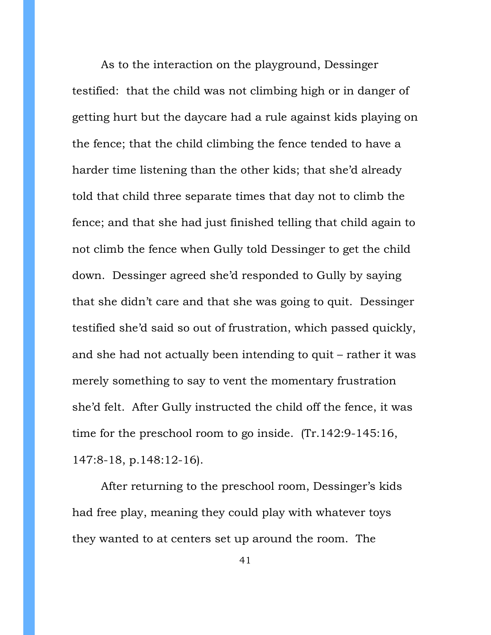As to the interaction on the playground, Dessinger testified: that the child was not climbing high or in danger of getting hurt but the daycare had a rule against kids playing on the fence; that the child climbing the fence tended to have a harder time listening than the other kids; that she'd already told that child three separate times that day not to climb the fence; and that she had just finished telling that child again to not climb the fence when Gully told Dessinger to get the child down. Dessinger agreed she'd responded to Gully by saying that she didn't care and that she was going to quit. Dessinger testified she'd said so out of frustration, which passed quickly, and she had not actually been intending to quit – rather it was merely something to say to vent the momentary frustration she'd felt. After Gully instructed the child off the fence, it was time for the preschool room to go inside. (Tr.142:9-145:16, 147:8-18, p.148:12-16).

After returning to the preschool room, Dessinger's kids had free play, meaning they could play with whatever toys they wanted to at centers set up around the room. The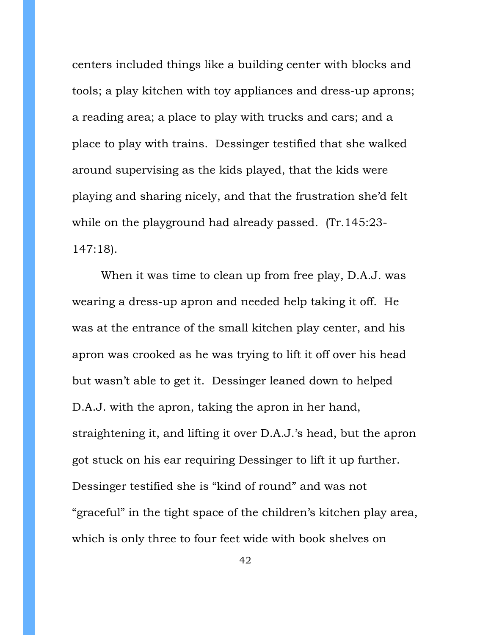centers included things like a building center with blocks and tools; a play kitchen with toy appliances and dress-up aprons; a reading area; a place to play with trucks and cars; and a place to play with trains. Dessinger testified that she walked around supervising as the kids played, that the kids were playing and sharing nicely, and that the frustration she'd felt while on the playground had already passed. (Tr.145:23- 147:18).

When it was time to clean up from free play, D.A.J. was wearing a dress-up apron and needed help taking it off. He was at the entrance of the small kitchen play center, and his apron was crooked as he was trying to lift it off over his head but wasn't able to get it. Dessinger leaned down to helped D.A.J. with the apron, taking the apron in her hand, straightening it, and lifting it over D.A.J.'s head, but the apron got stuck on his ear requiring Dessinger to lift it up further. Dessinger testified she is "kind of round" and was not "graceful" in the tight space of the children's kitchen play area, which is only three to four feet wide with book shelves on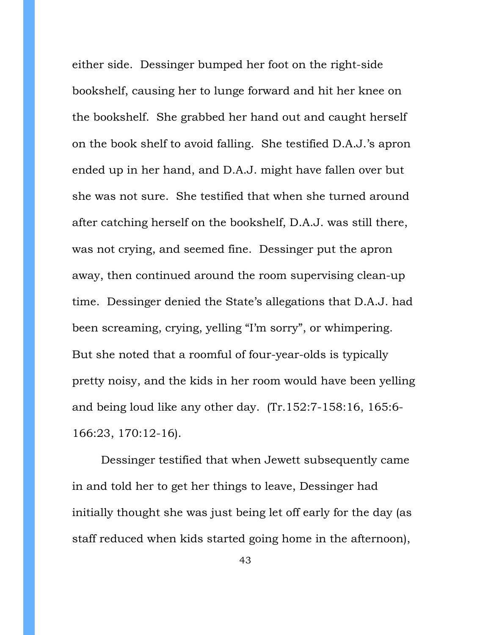either side. Dessinger bumped her foot on the right-side bookshelf, causing her to lunge forward and hit her knee on the bookshelf. She grabbed her hand out and caught herself on the book shelf to avoid falling. She testified D.A.J.'s apron ended up in her hand, and D.A.J. might have fallen over but she was not sure. She testified that when she turned around after catching herself on the bookshelf, D.A.J. was still there, was not crying, and seemed fine. Dessinger put the apron away, then continued around the room supervising clean-up time. Dessinger denied the State's allegations that D.A.J. had been screaming, crying, yelling "I'm sorry", or whimpering. But she noted that a roomful of four-year-olds is typically pretty noisy, and the kids in her room would have been yelling and being loud like any other day. (Tr.152:7-158:16, 165:6- 166:23, 170:12-16).

Dessinger testified that when Jewett subsequently came in and told her to get her things to leave, Dessinger had initially thought she was just being let off early for the day (as staff reduced when kids started going home in the afternoon),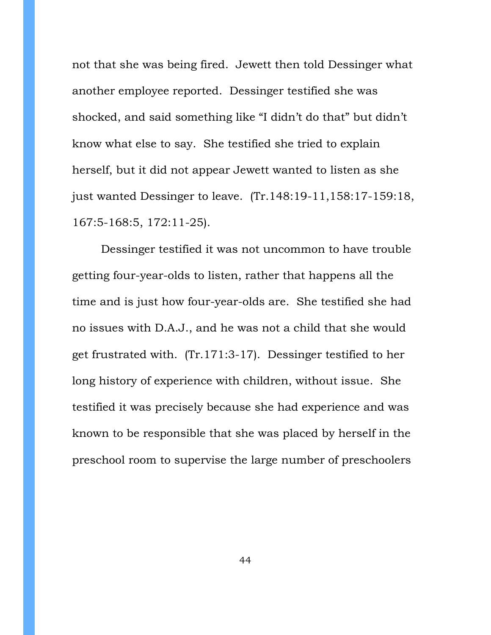not that she was being fired. Jewett then told Dessinger what another employee reported. Dessinger testified she was shocked, and said something like "I didn't do that" but didn't know what else to say. She testified she tried to explain herself, but it did not appear Jewett wanted to listen as she just wanted Dessinger to leave. (Tr.148:19-11,158:17-159:18, 167:5-168:5, 172:11-25).

Dessinger testified it was not uncommon to have trouble getting four-year-olds to listen, rather that happens all the time and is just how four-year-olds are. She testified she had no issues with D.A.J., and he was not a child that she would get frustrated with. (Tr.171:3-17). Dessinger testified to her long history of experience with children, without issue. She testified it was precisely because she had experience and was known to be responsible that she was placed by herself in the preschool room to supervise the large number of preschoolers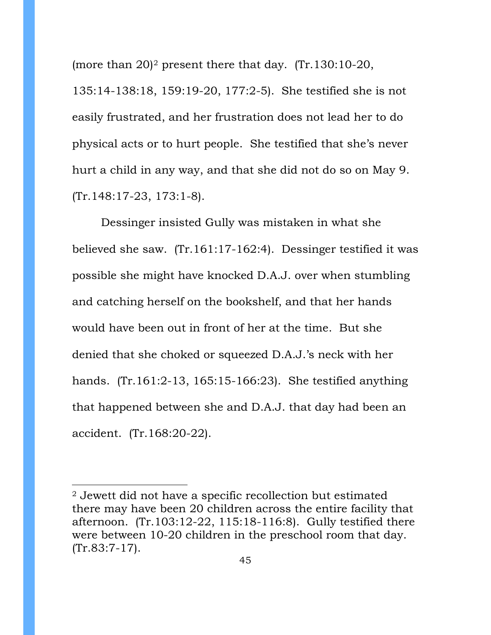(more than  $20$  $20$ )<sup>2</sup> present there that day. (Tr.130:10-20,

135:14-138:18, 159:19-20, 177:2-5). She testified she is not easily frustrated, and her frustration does not lead her to do physical acts or to hurt people. She testified that she's never hurt a child in any way, and that she did not do so on May 9. (Tr.148:17-23, 173:1-8).

Dessinger insisted Gully was mistaken in what she believed she saw. (Tr.161:17-162:4). Dessinger testified it was possible she might have knocked D.A.J. over when stumbling and catching herself on the bookshelf, and that her hands would have been out in front of her at the time. But she denied that she choked or squeezed D.A.J.'s neck with her hands. (Tr.161:2-13, 165:15-166:23). She testified anything that happened between she and D.A.J. that day had been an accident. (Tr.168:20-22).

 $\overline{a}$ 

<span id="page-44-0"></span><sup>2</sup> Jewett did not have a specific recollection but estimated there may have been 20 children across the entire facility that afternoon. (Tr.103:12-22, 115:18-116:8). Gully testified there were between 10-20 children in the preschool room that day. (Tr.83:7-17).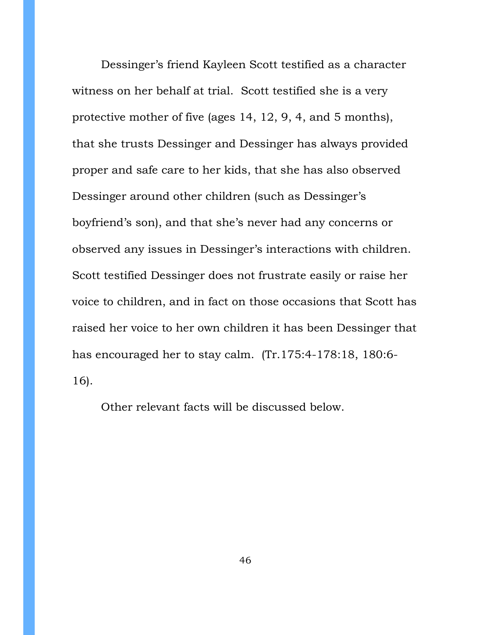Dessinger's friend Kayleen Scott testified as a character witness on her behalf at trial. Scott testified she is a very protective mother of five (ages 14, 12, 9, 4, and 5 months), that she trusts Dessinger and Dessinger has always provided proper and safe care to her kids, that she has also observed Dessinger around other children (such as Dessinger's boyfriend's son), and that she's never had any concerns or observed any issues in Dessinger's interactions with children. Scott testified Dessinger does not frustrate easily or raise her voice to children, and in fact on those occasions that Scott has raised her voice to her own children it has been Dessinger that has encouraged her to stay calm. (Tr.175:4-178:18, 180:6- 16).

Other relevant facts will be discussed below.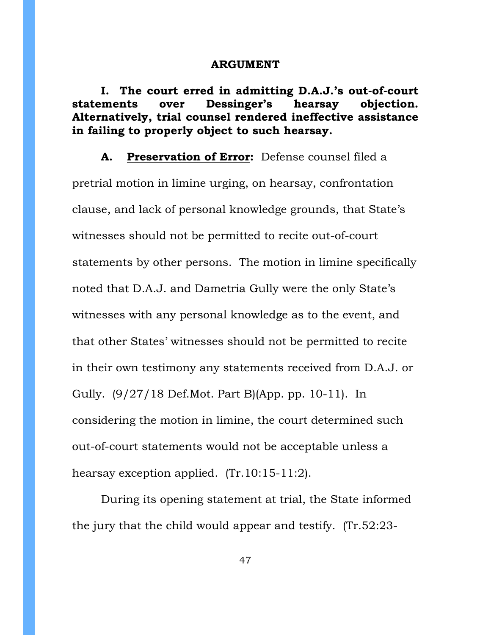## **ARGUMENT**

**I. The court erred in admitting D.A.J.'s out-of-court statements over Dessinger's hearsay objection. Alternatively, trial counsel rendered ineffective assistance in failing to properly object to such hearsay.**

**A. Preservation of Error:** Defense counsel filed a

pretrial motion in limine urging, on hearsay, confrontation clause, and lack of personal knowledge grounds, that State's witnesses should not be permitted to recite out-of-court statements by other persons. The motion in limine specifically noted that D.A.J. and Dametria Gully were the only State's witnesses with any personal knowledge as to the event, and that other States' witnesses should not be permitted to recite in their own testimony any statements received from D.A.J. or Gully. (9/27/18 Def.Mot. Part B)(App. pp. 10-11). In considering the motion in limine, the court determined such out-of-court statements would not be acceptable unless a hearsay exception applied. (Tr.10:15-11:2).

During its opening statement at trial, the State informed the jury that the child would appear and testify. (Tr.52:23-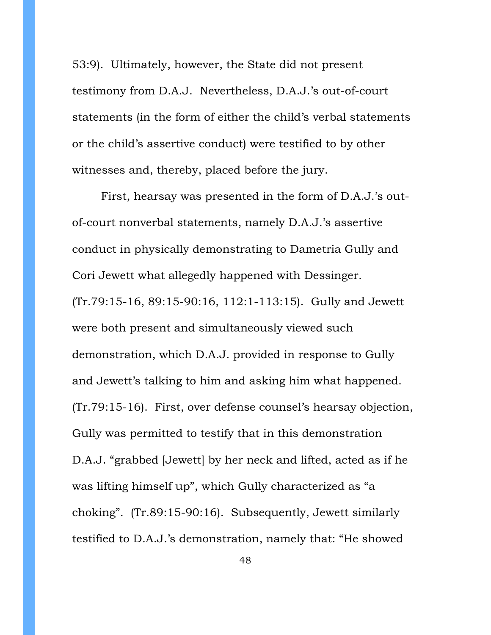53:9). Ultimately, however, the State did not present testimony from D.A.J. Nevertheless, D.A.J.'s out-of-court statements (in the form of either the child's verbal statements or the child's assertive conduct) were testified to by other witnesses and, thereby, placed before the jury.

First, hearsay was presented in the form of D.A.J.'s outof-court nonverbal statements, namely D.A.J.'s assertive conduct in physically demonstrating to Dametria Gully and Cori Jewett what allegedly happened with Dessinger. (Tr.79:15-16, 89:15-90:16, 112:1-113:15). Gully and Jewett were both present and simultaneously viewed such demonstration, which D.A.J. provided in response to Gully and Jewett's talking to him and asking him what happened. (Tr.79:15-16). First, over defense counsel's hearsay objection, Gully was permitted to testify that in this demonstration D.A.J. "grabbed [Jewett] by her neck and lifted, acted as if he was lifting himself up", which Gully characterized as "a choking". (Tr.89:15-90:16). Subsequently, Jewett similarly testified to D.A.J.'s demonstration, namely that: "He showed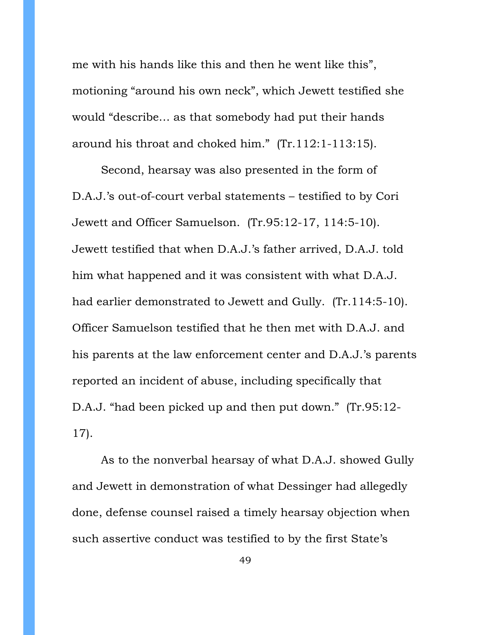me with his hands like this and then he went like this", motioning "around his own neck", which Jewett testified she would "describe… as that somebody had put their hands around his throat and choked him." (Tr.112:1-113:15).

Second, hearsay was also presented in the form of D.A.J.'s out-of-court verbal statements – testified to by Cori Jewett and Officer Samuelson. (Tr.95:12-17, 114:5-10). Jewett testified that when D.A.J.'s father arrived, D.A.J. told him what happened and it was consistent with what D.A.J. had earlier demonstrated to Jewett and Gully. (Tr.114:5-10). Officer Samuelson testified that he then met with D.A.J. and his parents at the law enforcement center and D.A.J.'s parents reported an incident of abuse, including specifically that D.A.J. "had been picked up and then put down." (Tr.95:12- 17).

As to the nonverbal hearsay of what D.A.J. showed Gully and Jewett in demonstration of what Dessinger had allegedly done, defense counsel raised a timely hearsay objection when such assertive conduct was testified to by the first State's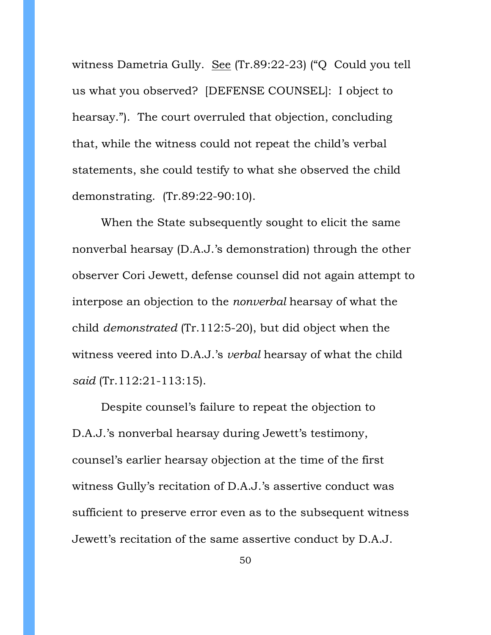witness Dametria Gully. See (Tr.89:22-23) ("Q Could you tell us what you observed? [DEFENSE COUNSEL]: I object to hearsay."). The court overruled that objection, concluding that, while the witness could not repeat the child's verbal statements, she could testify to what she observed the child demonstrating. (Tr.89:22-90:10).

When the State subsequently sought to elicit the same nonverbal hearsay (D.A.J.'s demonstration) through the other observer Cori Jewett, defense counsel did not again attempt to interpose an objection to the *nonverbal* hearsay of what the child *demonstrated* (Tr.112:5-20), but did object when the witness veered into D.A.J.'s *verbal* hearsay of what the child *said* (Tr.112:21-113:15).

Despite counsel's failure to repeat the objection to D.A.J.'s nonverbal hearsay during Jewett's testimony, counsel's earlier hearsay objection at the time of the first witness Gully's recitation of D.A.J.'s assertive conduct was sufficient to preserve error even as to the subsequent witness Jewett's recitation of the same assertive conduct by D.A.J.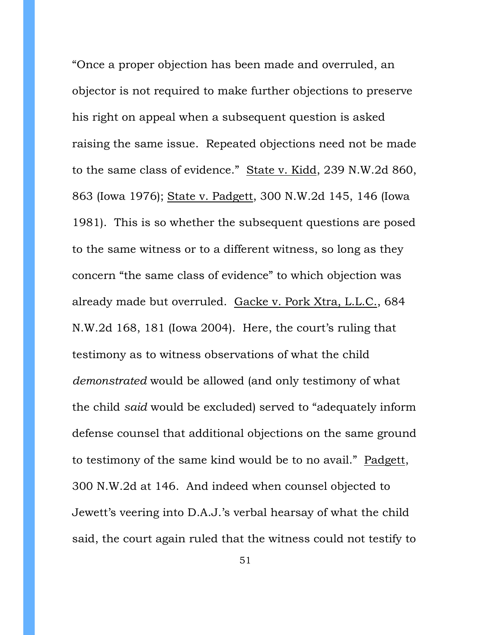"Once a proper objection has been made and overruled, an objector is not required to make further objections to preserve his right on appeal when a subsequent question is asked raising the same issue. Repeated objections need not be made to the same class of evidence." State v. Kidd, 239 N.W.2d 860, 863 (Iowa 1976); State v. Padgett, 300 N.W.2d 145, 146 (Iowa 1981). This is so whether the subsequent questions are posed to the same witness or to a different witness, so long as they concern "the same class of evidence" to which objection was already made but overruled. Gacke v. Pork Xtra, L.L.C., 684 N.W.2d 168, 181 (Iowa 2004). Here, the court's ruling that testimony as to witness observations of what the child *demonstrated* would be allowed (and only testimony of what the child *said* would be excluded) served to "adequately inform defense counsel that additional objections on the same ground to testimony of the same kind would be to no avail." Padgett, 300 N.W.2d at 146. And indeed when counsel objected to Jewett's veering into D.A.J.'s verbal hearsay of what the child said, the court again ruled that the witness could not testify to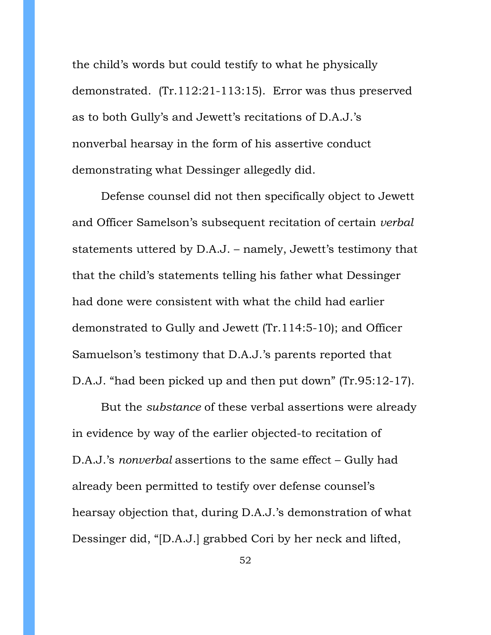the child's words but could testify to what he physically demonstrated. (Tr.112:21-113:15). Error was thus preserved as to both Gully's and Jewett's recitations of D.A.J.'s nonverbal hearsay in the form of his assertive conduct demonstrating what Dessinger allegedly did.

Defense counsel did not then specifically object to Jewett and Officer Samelson's subsequent recitation of certain *verbal* statements uttered by D.A.J. – namely, Jewett's testimony that that the child's statements telling his father what Dessinger had done were consistent with what the child had earlier demonstrated to Gully and Jewett (Tr.114:5-10); and Officer Samuelson's testimony that D.A.J.'s parents reported that D.A.J. "had been picked up and then put down" (Tr.95:12-17).

But the *substance* of these verbal assertions were already in evidence by way of the earlier objected-to recitation of D.A.J.'s *nonverbal* assertions to the same effect – Gully had already been permitted to testify over defense counsel's hearsay objection that, during D.A.J.'s demonstration of what Dessinger did, "[D.A.J.] grabbed Cori by her neck and lifted,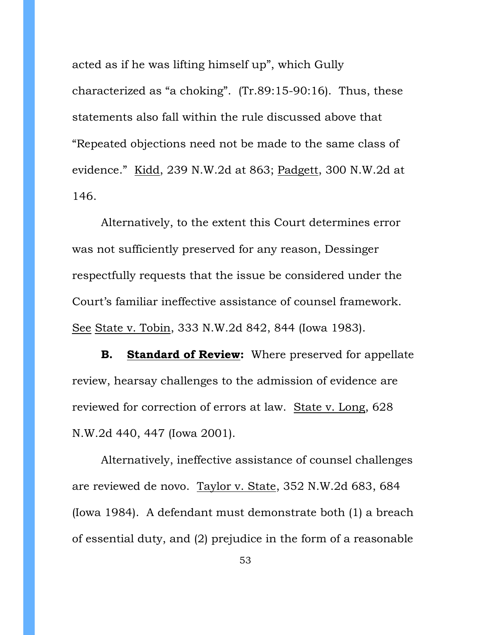acted as if he was lifting himself up", which Gully characterized as "a choking". (Tr.89:15-90:16). Thus, these statements also fall within the rule discussed above that "Repeated objections need not be made to the same class of evidence." Kidd, 239 N.W.2d at 863; Padgett, 300 N.W.2d at 146.

Alternatively, to the extent this Court determines error was not sufficiently preserved for any reason, Dessinger respectfully requests that the issue be considered under the Court's familiar ineffective assistance of counsel framework. See State v. Tobin, 333 N.W.2d 842, 844 (Iowa 1983).

**B. Standard of Review:** Where preserved for appellate review, hearsay challenges to the admission of evidence are reviewed for correction of errors at law. State v. Long, 628 N.W.2d 440, 447 (Iowa 2001).

Alternatively, ineffective assistance of counsel challenges are reviewed de novo. Taylor v. State, 352 N.W.2d 683, 684 (Iowa 1984). A defendant must demonstrate both (1) a breach of essential duty, and (2) prejudice in the form of a reasonable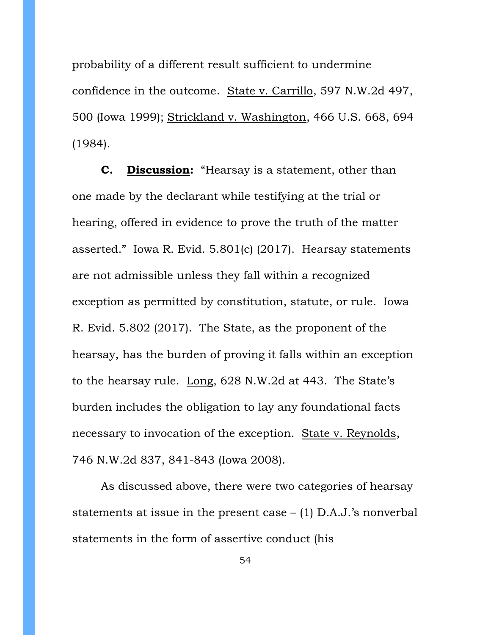probability of a different result sufficient to undermine confidence in the outcome. State v. Carrillo, 597 N.W.2d 497, 500 (Iowa 1999); Strickland v. Washington, 466 U.S. 668, 694 (1984).

**C. Discussion:** "Hearsay is a statement, other than one made by the declarant while testifying at the trial or hearing, offered in evidence to prove the truth of the matter asserted." Iowa R. Evid. 5.801(c) (2017). Hearsay statements are not admissible unless they fall within a recognized exception as permitted by constitution, statute, or rule. Iowa R. Evid. 5.802 (2017). The State, as the proponent of the hearsay, has the burden of proving it falls within an exception to the hearsay rule. Long, 628 N.W.2d at 443. The State's burden includes the obligation to lay any foundational facts necessary to invocation of the exception. State v. Reynolds, 746 N.W.2d 837, 841-843 (Iowa 2008).

As discussed above, there were two categories of hearsay statements at issue in the present case  $-$  (1) D.A.J.'s nonverbal statements in the form of assertive conduct (his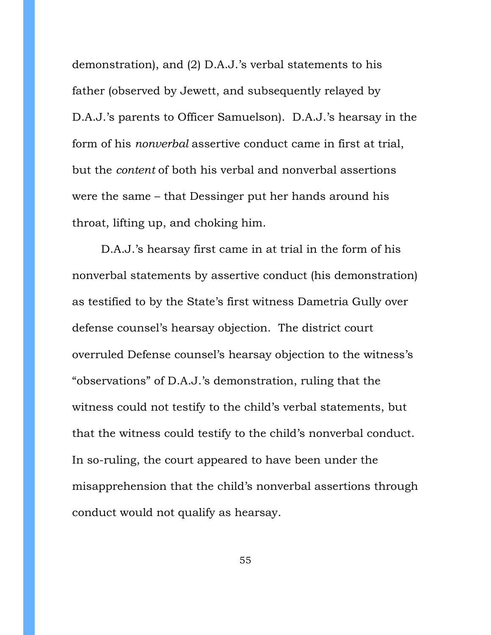demonstration), and (2) D.A.J.'s verbal statements to his father (observed by Jewett, and subsequently relayed by D.A.J.'s parents to Officer Samuelson). D.A.J.'s hearsay in the form of his *nonverbal* assertive conduct came in first at trial, but the *content* of both his verbal and nonverbal assertions were the same – that Dessinger put her hands around his throat, lifting up, and choking him.

D.A.J.'s hearsay first came in at trial in the form of his nonverbal statements by assertive conduct (his demonstration) as testified to by the State's first witness Dametria Gully over defense counsel's hearsay objection. The district court overruled Defense counsel's hearsay objection to the witness's "observations" of D.A.J.'s demonstration, ruling that the witness could not testify to the child's verbal statements, but that the witness could testify to the child's nonverbal conduct. In so-ruling, the court appeared to have been under the misapprehension that the child's nonverbal assertions through conduct would not qualify as hearsay.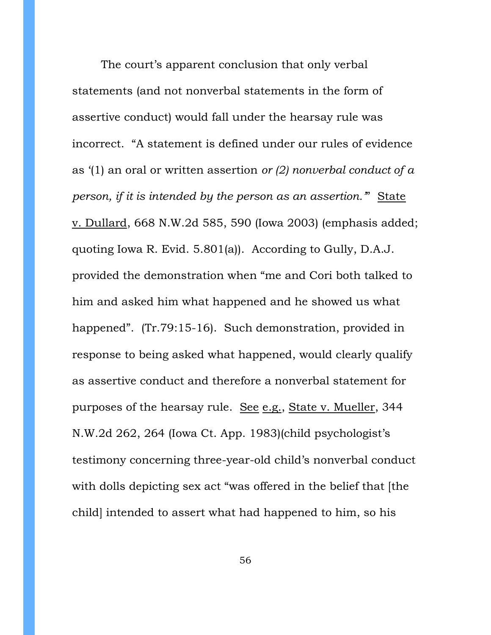The court's apparent conclusion that only verbal statements (and not nonverbal statements in the form of assertive conduct) would fall under the hearsay rule was incorrect. "A statement is defined under our rules of evidence as '(1) an oral or written assertion *or (2) nonverbal conduct of a person, if it is intended by the person as an assertion.'*" State v. Dullard, 668 N.W.2d 585, 590 (Iowa 2003) (emphasis added; quoting Iowa R. Evid. 5.801(a)). According to Gully, D.A.J. provided the demonstration when "me and Cori both talked to him and asked him what happened and he showed us what happened". (Tr.79:15-16). Such demonstration, provided in response to being asked what happened, would clearly qualify as assertive conduct and therefore a nonverbal statement for purposes of the hearsay rule. See e.g., State v. Mueller, 344 N.W.2d 262, 264 (Iowa Ct. App. 1983)(child psychologist's testimony concerning three-year-old child's nonverbal conduct with dolls depicting sex act "was offered in the belief that [the child] intended to assert what had happened to him, so his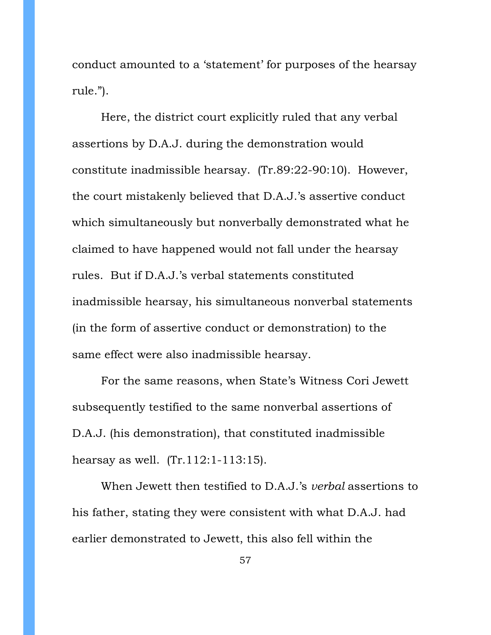conduct amounted to a 'statement' for purposes of the hearsay rule.").

Here, the district court explicitly ruled that any verbal assertions by D.A.J. during the demonstration would constitute inadmissible hearsay. (Tr.89:22-90:10). However, the court mistakenly believed that D.A.J.'s assertive conduct which simultaneously but nonverbally demonstrated what he claimed to have happened would not fall under the hearsay rules. But if D.A.J.'s verbal statements constituted inadmissible hearsay, his simultaneous nonverbal statements (in the form of assertive conduct or demonstration) to the same effect were also inadmissible hearsay.

For the same reasons, when State's Witness Cori Jewett subsequently testified to the same nonverbal assertions of D.A.J. (his demonstration), that constituted inadmissible hearsay as well. (Tr.112:1-113:15).

When Jewett then testified to D.A.J.'s *verbal* assertions to his father, stating they were consistent with what D.A.J. had earlier demonstrated to Jewett, this also fell within the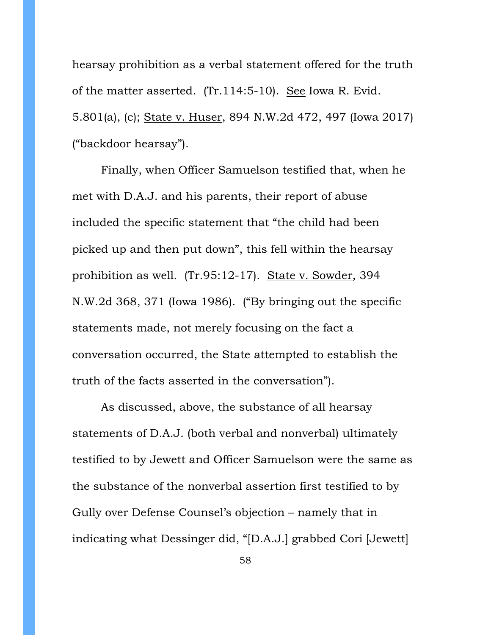hearsay prohibition as a verbal statement offered for the truth of the matter asserted. (Tr.114:5-10). See Iowa R. Evid. 5.801(a), (c); State v. Huser, 894 N.W.2d 472, 497 (Iowa 2017) ("backdoor hearsay").

Finally, when Officer Samuelson testified that, when he met with D.A.J. and his parents, their report of abuse included the specific statement that "the child had been picked up and then put down", this fell within the hearsay prohibition as well. (Tr.95:12-17). State v. Sowder, 394 N.W.2d 368, 371 (Iowa 1986). ("By bringing out the specific statements made, not merely focusing on the fact a conversation occurred, the State attempted to establish the truth of the facts asserted in the conversation").

As discussed, above, the substance of all hearsay statements of D.A.J. (both verbal and nonverbal) ultimately testified to by Jewett and Officer Samuelson were the same as the substance of the nonverbal assertion first testified to by Gully over Defense Counsel's objection – namely that in indicating what Dessinger did, "[D.A.J.] grabbed Cori [Jewett]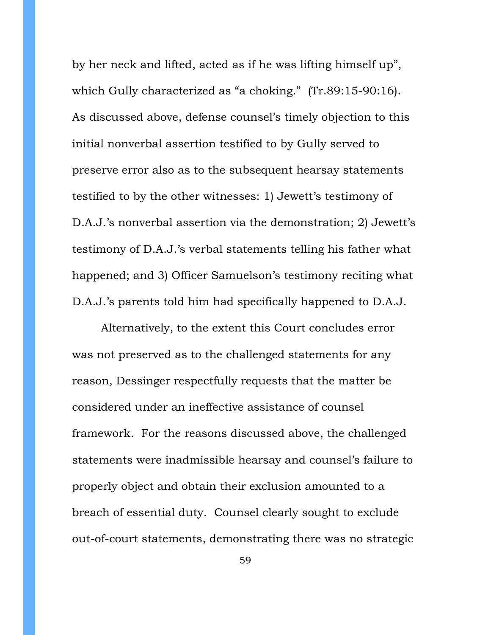by her neck and lifted, acted as if he was lifting himself up", which Gully characterized as "a choking." (Tr.89:15-90:16). As discussed above, defense counsel's timely objection to this initial nonverbal assertion testified to by Gully served to preserve error also as to the subsequent hearsay statements testified to by the other witnesses: 1) Jewett's testimony of D.A.J.'s nonverbal assertion via the demonstration; 2) Jewett's testimony of D.A.J.'s verbal statements telling his father what happened; and 3) Officer Samuelson's testimony reciting what D.A.J.'s parents told him had specifically happened to D.A.J.

Alternatively, to the extent this Court concludes error was not preserved as to the challenged statements for any reason, Dessinger respectfully requests that the matter be considered under an ineffective assistance of counsel framework. For the reasons discussed above, the challenged statements were inadmissible hearsay and counsel's failure to properly object and obtain their exclusion amounted to a breach of essential duty. Counsel clearly sought to exclude out-of-court statements, demonstrating there was no strategic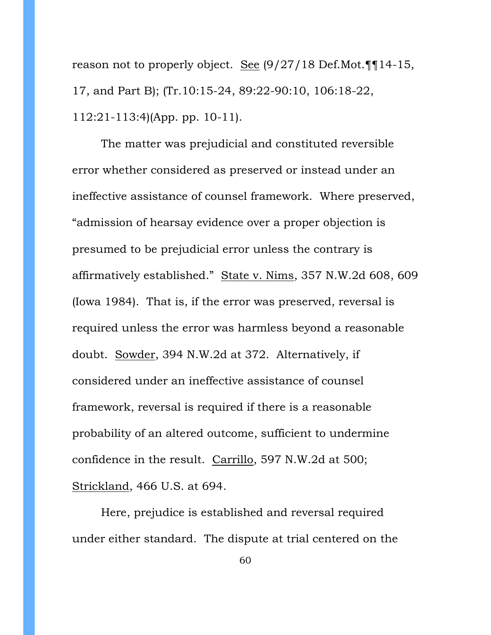reason not to properly object. See (9/27/18 Def.Mot.¶¶14-15, 17, and Part B); (Tr.10:15-24, 89:22-90:10, 106:18-22, 112:21-113:4)(App. pp. 10-11).

The matter was prejudicial and constituted reversible error whether considered as preserved or instead under an ineffective assistance of counsel framework. Where preserved, "admission of hearsay evidence over a proper objection is presumed to be prejudicial error unless the contrary is affirmatively established." State v. Nims, 357 N.W.2d 608, 609 (Iowa 1984). That is, if the error was preserved, reversal is required unless the error was harmless beyond a reasonable doubt. Sowder, 394 N.W.2d at 372. Alternatively, if considered under an ineffective assistance of counsel framework, reversal is required if there is a reasonable probability of an altered outcome, sufficient to undermine confidence in the result. Carrillo, 597 N.W.2d at 500; Strickland, 466 U.S. at 694.

Here, prejudice is established and reversal required under either standard. The dispute at trial centered on the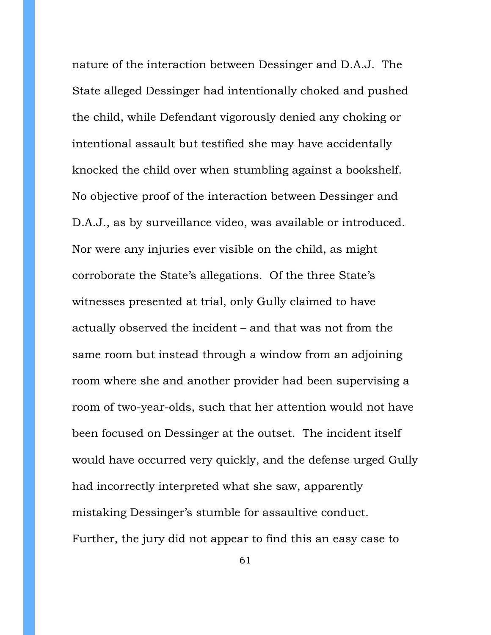nature of the interaction between Dessinger and D.A.J. The State alleged Dessinger had intentionally choked and pushed the child, while Defendant vigorously denied any choking or intentional assault but testified she may have accidentally knocked the child over when stumbling against a bookshelf. No objective proof of the interaction between Dessinger and D.A.J., as by surveillance video, was available or introduced. Nor were any injuries ever visible on the child, as might corroborate the State's allegations. Of the three State's witnesses presented at trial, only Gully claimed to have actually observed the incident – and that was not from the same room but instead through a window from an adjoining room where she and another provider had been supervising a room of two-year-olds, such that her attention would not have been focused on Dessinger at the outset. The incident itself would have occurred very quickly, and the defense urged Gully had incorrectly interpreted what she saw, apparently mistaking Dessinger's stumble for assaultive conduct. Further, the jury did not appear to find this an easy case to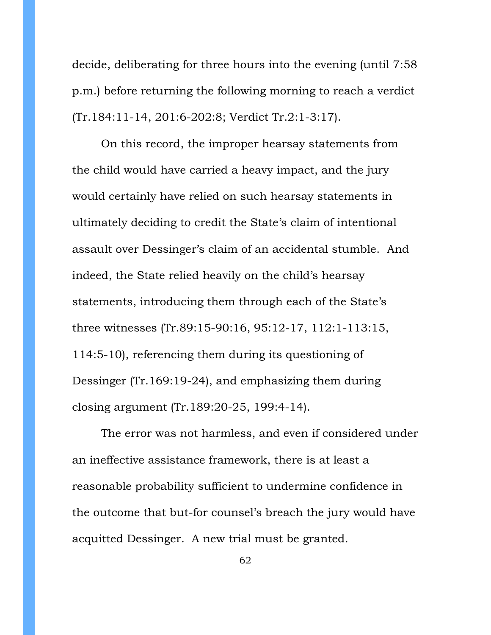decide, deliberating for three hours into the evening (until 7:58 p.m.) before returning the following morning to reach a verdict (Tr.184:11-14, 201:6-202:8; Verdict Tr.2:1-3:17).

On this record, the improper hearsay statements from the child would have carried a heavy impact, and the jury would certainly have relied on such hearsay statements in ultimately deciding to credit the State's claim of intentional assault over Dessinger's claim of an accidental stumble. And indeed, the State relied heavily on the child's hearsay statements, introducing them through each of the State's three witnesses (Tr.89:15-90:16, 95:12-17, 112:1-113:15, 114:5-10), referencing them during its questioning of Dessinger (Tr.169:19-24), and emphasizing them during closing argument (Tr.189:20-25, 199:4-14).

The error was not harmless, and even if considered under an ineffective assistance framework, there is at least a reasonable probability sufficient to undermine confidence in the outcome that but-for counsel's breach the jury would have acquitted Dessinger. A new trial must be granted.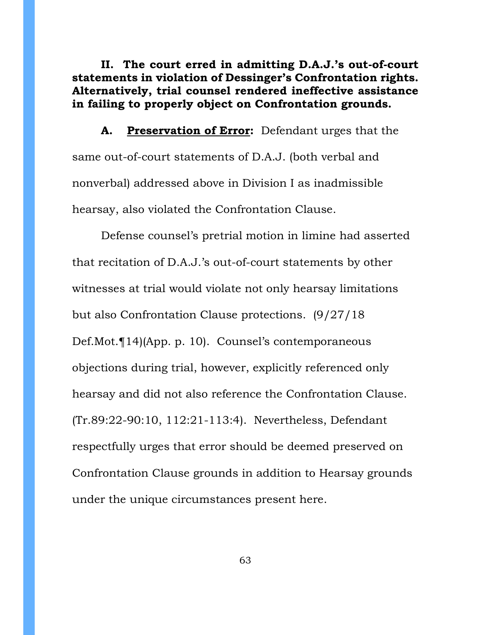**II. The court erred in admitting D.A.J.'s out-of-court statements in violation of Dessinger's Confrontation rights. Alternatively, trial counsel rendered ineffective assistance in failing to properly object on Confrontation grounds.**

**A. Preservation of Error:** Defendant urges that the same out-of-court statements of D.A.J. (both verbal and nonverbal) addressed above in Division I as inadmissible hearsay, also violated the Confrontation Clause.

Defense counsel's pretrial motion in limine had asserted that recitation of D.A.J.'s out-of-court statements by other witnesses at trial would violate not only hearsay limitations but also Confrontation Clause protections. (9/27/18 Def.Mot.¶14)(App. p. 10). Counsel's contemporaneous objections during trial, however, explicitly referenced only hearsay and did not also reference the Confrontation Clause. (Tr.89:22-90:10, 112:21-113:4). Nevertheless, Defendant respectfully urges that error should be deemed preserved on Confrontation Clause grounds in addition to Hearsay grounds under the unique circumstances present here.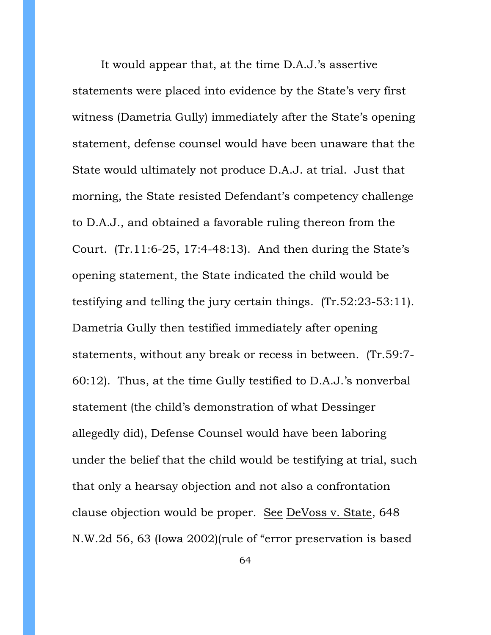It would appear that, at the time D.A.J.'s assertive statements were placed into evidence by the State's very first witness (Dametria Gully) immediately after the State's opening statement, defense counsel would have been unaware that the State would ultimately not produce D.A.J. at trial. Just that morning, the State resisted Defendant's competency challenge to D.A.J., and obtained a favorable ruling thereon from the Court. (Tr.11:6-25, 17:4-48:13). And then during the State's opening statement, the State indicated the child would be testifying and telling the jury certain things. (Tr.52:23-53:11). Dametria Gully then testified immediately after opening statements, without any break or recess in between. (Tr.59:7- 60:12). Thus, at the time Gully testified to D.A.J.'s nonverbal statement (the child's demonstration of what Dessinger allegedly did), Defense Counsel would have been laboring under the belief that the child would be testifying at trial, such that only a hearsay objection and not also a confrontation clause objection would be proper. See DeVoss v. State, 648 N.W.2d 56, 63 (Iowa 2002)(rule of "error preservation is based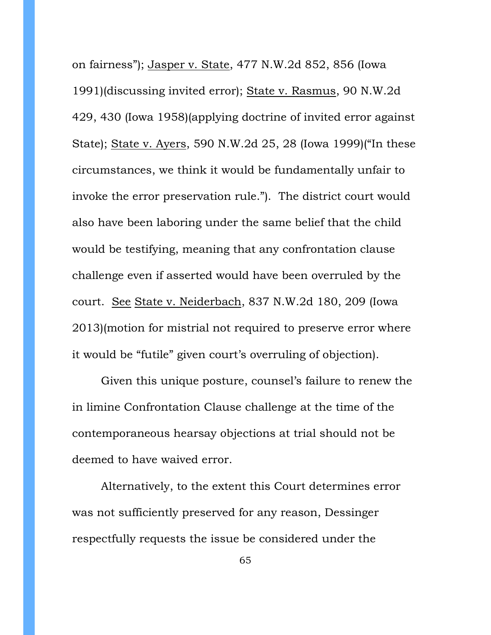on fairness"); Jasper v. State, 477 N.W.2d 852, 856 (Iowa 1991)(discussing invited error); State v. Rasmus, 90 N.W.2d 429, 430 (Iowa 1958)(applying doctrine of invited error against State); State v. Ayers, 590 N.W.2d 25, 28 (Iowa 1999)("In these circumstances, we think it would be fundamentally unfair to invoke the error preservation rule."). The district court would also have been laboring under the same belief that the child would be testifying, meaning that any confrontation clause challenge even if asserted would have been overruled by the court. See State v. Neiderbach, 837 N.W.2d 180, 209 (Iowa 2013)(motion for mistrial not required to preserve error where it would be "futile" given court's overruling of objection).

Given this unique posture, counsel's failure to renew the in limine Confrontation Clause challenge at the time of the contemporaneous hearsay objections at trial should not be deemed to have waived error.

Alternatively, to the extent this Court determines error was not sufficiently preserved for any reason, Dessinger respectfully requests the issue be considered under the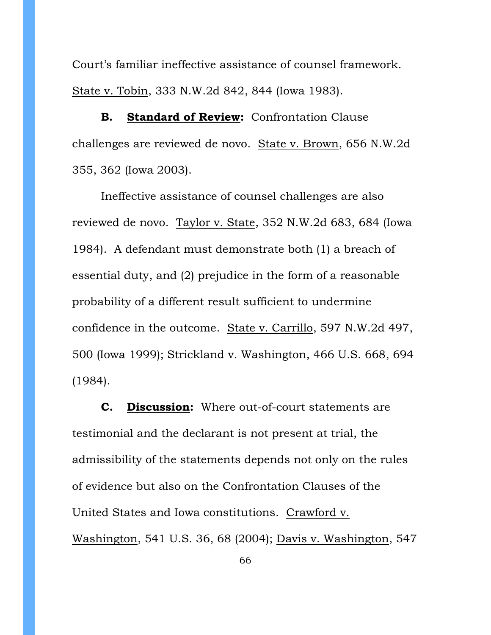Court's familiar ineffective assistance of counsel framework. State v. Tobin, 333 N.W.2d 842, 844 (Iowa 1983).

**B. Standard of Review:** Confrontation Clause challenges are reviewed de novo. State v. Brown, 656 N.W.2d 355, 362 (Iowa 2003).

Ineffective assistance of counsel challenges are also reviewed de novo. Taylor v. State, 352 N.W.2d 683, 684 (Iowa 1984). A defendant must demonstrate both (1) a breach of essential duty, and (2) prejudice in the form of a reasonable probability of a different result sufficient to undermine confidence in the outcome. State v. Carrillo, 597 N.W.2d 497, 500 (Iowa 1999); Strickland v. Washington, 466 U.S. 668, 694 (1984).

**C. Discussion:** Where out-of-court statements are testimonial and the declarant is not present at trial, the admissibility of the statements depends not only on the rules of evidence but also on the Confrontation Clauses of the United States and Iowa constitutions. Crawford v. Washington, 541 U.S. 36, 68 (2004); Davis v. Washington, 547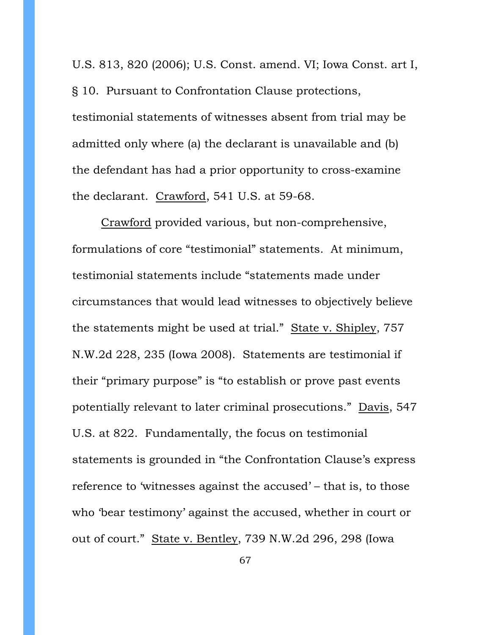U.S. 813, 820 (2006); U.S. Const. amend. VI; Iowa Const. art I, § 10. Pursuant to Confrontation Clause protections, testimonial statements of witnesses absent from trial may be admitted only where (a) the declarant is unavailable and (b) the defendant has had a prior opportunity to cross-examine the declarant. Crawford, 541 U.S. at 59-68.

Crawford provided various, but non-comprehensive, formulations of core "testimonial" statements. At minimum, testimonial statements include "statements made under circumstances that would lead witnesses to objectively believe the statements might be used at trial." State v. Shipley, 757 N.W.2d 228, 235 (Iowa 2008). Statements are testimonial if their "primary purpose" is "to establish or prove past events potentially relevant to later criminal prosecutions." Davis, 547 U.S. at 822. Fundamentally, the focus on testimonial statements is grounded in "the Confrontation Clause's express reference to 'witnesses against the accused' – that is, to those who 'bear testimony' against the accused, whether in court or out of court." State v. Bentley, 739 N.W.2d 296, 298 (Iowa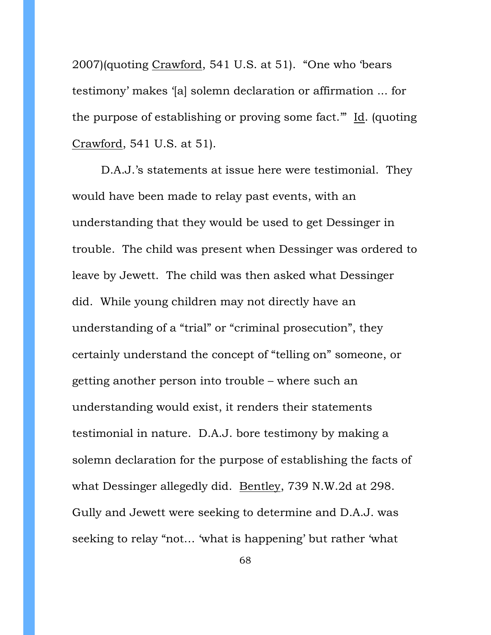2007)(quoting Crawford, 541 U.S. at 51). "One who 'bears testimony' makes '[a] solemn declaration or affirmation ... for the purpose of establishing or proving some fact.'" Id. (quoting Crawford, 541 U.S. at 51).

D.A.J.'s statements at issue here were testimonial. They would have been made to relay past events, with an understanding that they would be used to get Dessinger in trouble. The child was present when Dessinger was ordered to leave by Jewett. The child was then asked what Dessinger did. While young children may not directly have an understanding of a "trial" or "criminal prosecution", they certainly understand the concept of "telling on" someone, or getting another person into trouble – where such an understanding would exist, it renders their statements testimonial in nature. D.A.J. bore testimony by making a solemn declaration for the purpose of establishing the facts of what Dessinger allegedly did. Bentley, 739 N.W.2d at 298. Gully and Jewett were seeking to determine and D.A.J. was seeking to relay "not… 'what is happening' but rather 'what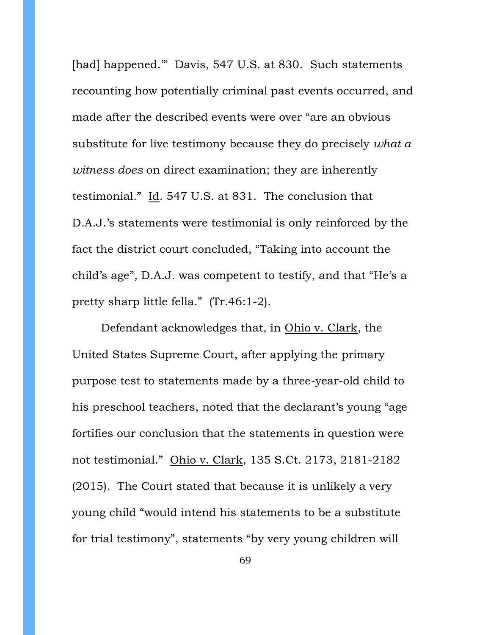[had] happened." Davis, 547 U.S. at 830. Such statements recounting how potentially criminal past events occurred, and made after the described events were over "are an obvious substitute for live testimony because they do precisely *what a witness does* on direct examination; they are inherently testimonial." Id. 547 U.S. at 831. The conclusion that D.A.J.'s statements were testimonial is only reinforced by the fact the district court concluded, "Taking into account the child's age", D.A.J. was competent to testify, and that "He's a pretty sharp little fella." (Tr.46:1-2).

Defendant acknowledges that, in Ohio v. Clark, the United States Supreme Court, after applying the primary purpose test to statements made by a three-year-old child to his preschool teachers, noted that the declarant's young "age fortifies our conclusion that the statements in question were not testimonial." Ohio v. Clark, 135 S.Ct. 2173, 2181-2182 (2015). The Court stated that because it is unlikely a very young child "would intend his statements to be a substitute for trial testimony", statements "by very young children will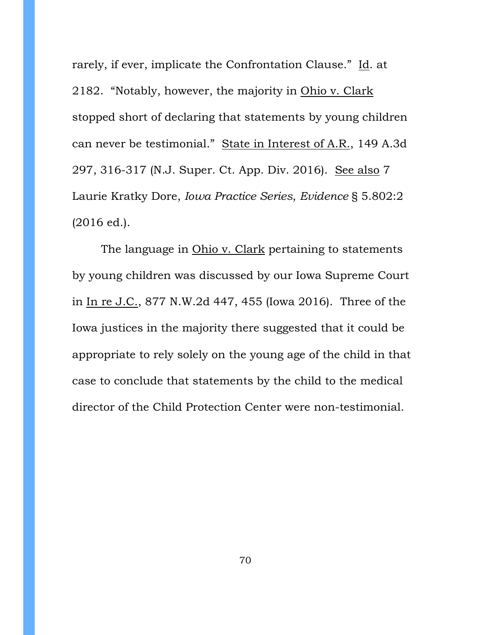rarely, if ever, implicate the Confrontation Clause." Id. at 2182. "Notably, however, the majority in Ohio v. Clark stopped short of declaring that statements by young children can never be testimonial." State in Interest of A.R., 149 A.3d 297, 316-317 (N.J. Super. Ct. App. Div. 2016). See also 7 Laurie Kratky Dore, *Iowa Practice Series*, *Evidence* § 5.802:2 (2016 ed.).

The language in Ohio v. Clark pertaining to statements by young children was discussed by our Iowa Supreme Court in In re J.C., 877 N.W.2d 447, 455 (Iowa 2016). Three of the Iowa justices in the majority there suggested that it could be appropriate to rely solely on the young age of the child in that case to conclude that statements by the child to the medical director of the Child Protection Center were non-testimonial.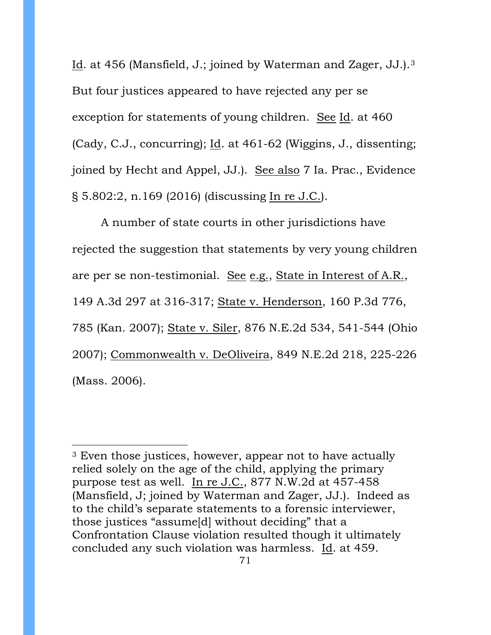Id. at 456 (Mansfield, J.; joined by Waterman and Zager, JJ.).[3](#page-70-0)  But four justices appeared to have rejected any per se exception for statements of young children. See Id. at 460 (Cady, C.J., concurring); Id. at 461-62 (Wiggins, J., dissenting; joined by Hecht and Appel, JJ.). See also 7 Ia. Prac., Evidence § 5.802:2, n.169 (2016) (discussing In re J.C.).

A number of state courts in other jurisdictions have rejected the suggestion that statements by very young children are per se non-testimonial. See e.g., State in Interest of A.R., 149 A.3d 297 at 316-317; State v. Henderson, 160 P.3d 776, 785 (Kan. 2007); State v. Siler, 876 N.E.2d 534, 541-544 (Ohio 2007); Commonwealth v. DeOliveira, 849 N.E.2d 218, 225-226 (Mass. 2006).

 $\overline{a}$ 

<span id="page-70-0"></span><sup>&</sup>lt;sup>3</sup> Even those justices, however, appear not to have actually relied solely on the age of the child, applying the primary purpose test as well. In re J.C., 877 N.W.2d at 457-458 (Mansfield, J; joined by Waterman and Zager, JJ.). Indeed as to the child's separate statements to a forensic interviewer, those justices "assume[d] without deciding" that a Confrontation Clause violation resulted though it ultimately concluded any such violation was harmless. Id. at 459.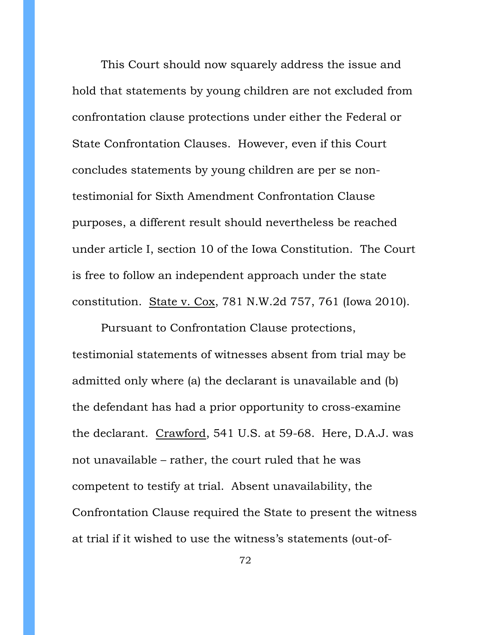This Court should now squarely address the issue and hold that statements by young children are not excluded from confrontation clause protections under either the Federal or State Confrontation Clauses. However, even if this Court concludes statements by young children are per se nontestimonial for Sixth Amendment Confrontation Clause purposes, a different result should nevertheless be reached under article I, section 10 of the Iowa Constitution. The Court is free to follow an independent approach under the state constitution. State v. Cox, 781 N.W.2d 757, 761 (Iowa 2010).

Pursuant to Confrontation Clause protections, testimonial statements of witnesses absent from trial may be admitted only where (a) the declarant is unavailable and (b) the defendant has had a prior opportunity to cross-examine the declarant. Crawford, 541 U.S. at 59-68. Here, D.A.J. was not unavailable – rather, the court ruled that he was competent to testify at trial. Absent unavailability, the Confrontation Clause required the State to present the witness at trial if it wished to use the witness's statements (out-of-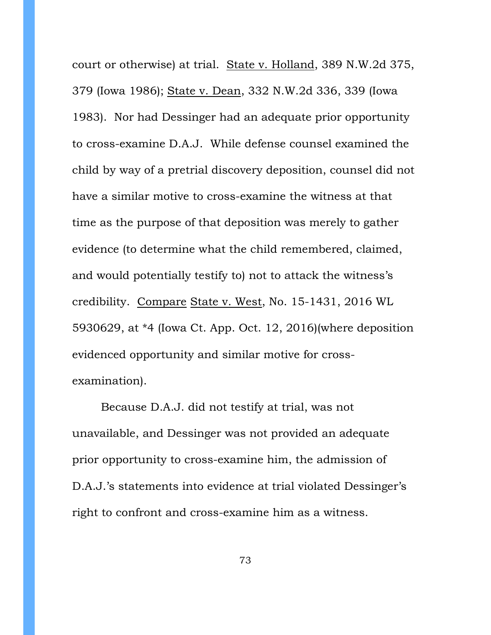court or otherwise) at trial. State v. Holland, 389 N.W.2d 375, 379 (Iowa 1986); State v. Dean, 332 N.W.2d 336, 339 (Iowa 1983). Nor had Dessinger had an adequate prior opportunity to cross-examine D.A.J. While defense counsel examined the child by way of a pretrial discovery deposition, counsel did not have a similar motive to cross-examine the witness at that time as the purpose of that deposition was merely to gather evidence (to determine what the child remembered, claimed, and would potentially testify to) not to attack the witness's credibility. Compare State v. West, No. 15-1431, 2016 WL 5930629, at \*4 (Iowa Ct. App. Oct. 12, 2016)(where deposition evidenced opportunity and similar motive for crossexamination).

Because D.A.J. did not testify at trial, was not unavailable, and Dessinger was not provided an adequate prior opportunity to cross-examine him, the admission of D.A.J.'s statements into evidence at trial violated Dessinger's right to confront and cross-examine him as a witness.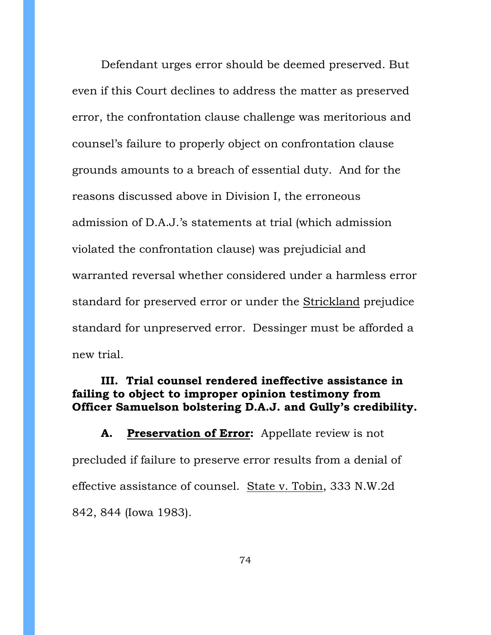Defendant urges error should be deemed preserved. But even if this Court declines to address the matter as preserved error, the confrontation clause challenge was meritorious and counsel's failure to properly object on confrontation clause grounds amounts to a breach of essential duty. And for the reasons discussed above in Division I, the erroneous admission of D.A.J.'s statements at trial (which admission violated the confrontation clause) was prejudicial and warranted reversal whether considered under a harmless error standard for preserved error or under the Strickland prejudice standard for unpreserved error. Dessinger must be afforded a new trial.

## **III. Trial counsel rendered ineffective assistance in failing to object to improper opinion testimony from Officer Samuelson bolstering D.A.J. and Gully's credibility.**

**A. Preservation of Error:** Appellate review is not precluded if failure to preserve error results from a denial of effective assistance of counsel. State v. Tobin, 333 N.W.2d 842, 844 (Iowa 1983).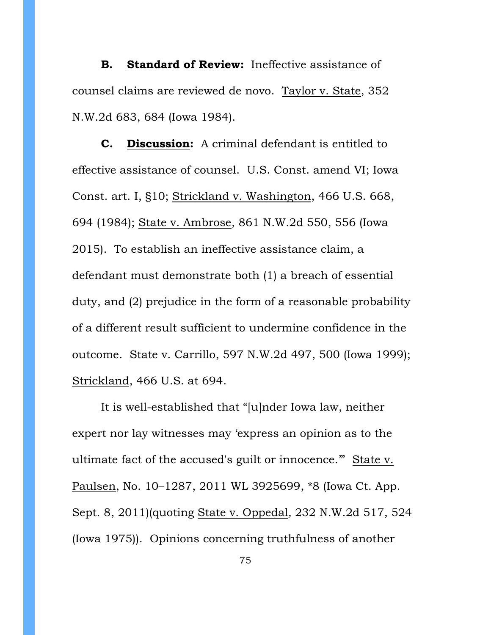**B. Standard of Review:** Ineffective assistance of counsel claims are reviewed de novo. Taylor v. State, 352 N.W.2d 683, 684 (Iowa 1984).

**C. Discussion:** A criminal defendant is entitled to effective assistance of counsel. U.S. Const. amend VI; Iowa Const. art. I, §10; Strickland v. Washington, 466 U.S. 668, 694 (1984); State v. Ambrose, 861 N.W.2d 550, 556 (Iowa 2015). To establish an ineffective assistance claim, a defendant must demonstrate both (1) a breach of essential duty, and (2) prejudice in the form of a reasonable probability of a different result sufficient to undermine confidence in the outcome. State v. Carrillo, 597 N.W.2d 497, 500 (Iowa 1999); Strickland, 466 U.S. at 694.

It is well-established that "[u]nder Iowa law, neither expert nor lay witnesses may 'express an opinion as to the ultimate fact of the accused's guilt or innocence.'" State v. Paulsen, No. 10–1287, 2011 WL 3925699, \*8 (Iowa Ct. App. Sept. 8, 2011)(quoting State v. Oppedal*,* 232 N.W.2d 517, 524 (Iowa 1975)). Opinions concerning truthfulness of another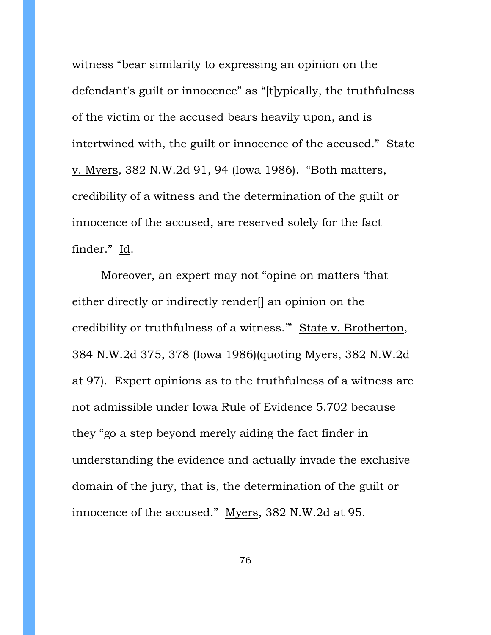witness "bear similarity to expressing an opinion on the defendant's guilt or innocence" as "[t]ypically, the truthfulness of the victim or the accused bears heavily upon, and is intertwined with, the guilt or innocence of the accused." State v. Myers*,* 382 N.W.2d 91, 94 (Iowa 1986). "Both matters, credibility of a witness and the determination of the guilt or innocence of the accused, are reserved solely for the fact finder." Id.

Moreover, an expert may not "opine on matters 'that either directly or indirectly render[] an opinion on the credibility or truthfulness of a witness.'" State v. Brotherton, 384 N.W.2d 375, 378 (Iowa 1986)(quoting Myers, 382 N.W.2d at 97). Expert opinions as to the truthfulness of a witness are not admissible under Iowa Rule of Evidence 5.702 because they "go a step beyond merely aiding the fact finder in understanding the evidence and actually invade the exclusive domain of the jury, that is, the determination of the guilt or innocence of the accused." Myers, 382 N.W.2d at 95.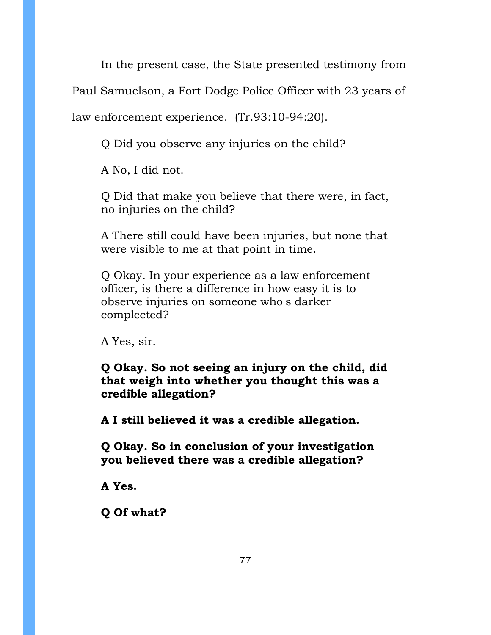In the present case, the State presented testimony from

Paul Samuelson, a Fort Dodge Police Officer with 23 years of

law enforcement experience. (Tr.93:10-94:20).

Q Did you observe any injuries on the child?

A No, I did not.

Q Did that make you believe that there were, in fact, no injuries on the child?

A There still could have been injuries, but none that were visible to me at that point in time.

Q Okay. In your experience as a law enforcement officer, is there a difference in how easy it is to observe injuries on someone who's darker complected?

A Yes, sir.

**Q Okay. So not seeing an injury on the child, did that weigh into whether you thought this was a credible allegation?**

**A I still believed it was a credible allegation.**

**Q Okay. So in conclusion of your investigation you believed there was a credible allegation?**

**A Yes.**

**Q Of what?**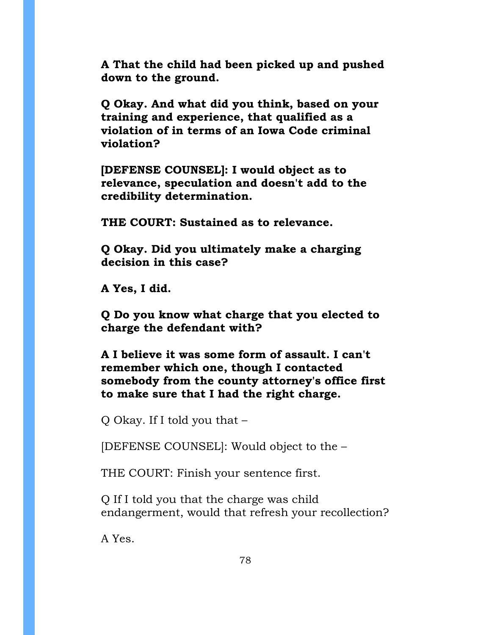**A That the child had been picked up and pushed down to the ground.** 

**Q Okay. And what did you think, based on your training and experience, that qualified as a violation of in terms of an Iowa Code criminal violation?**

**[DEFENSE COUNSEL]: I would object as to relevance, speculation and doesn't add to the credibility determination.**

**THE COURT: Sustained as to relevance.**

**Q Okay. Did you ultimately make a charging decision in this case?**

**A Yes, I did.**

**Q Do you know what charge that you elected to charge the defendant with?**

**A I believe it was some form of assault. I can't remember which one, though I contacted somebody from the county attorney's office first to make sure that I had the right charge.**

Q Okay. If I told you that –

[DEFENSE COUNSEL]: Would object to the –

THE COURT: Finish your sentence first.

Q If I told you that the charge was child endangerment, would that refresh your recollection?

A Yes.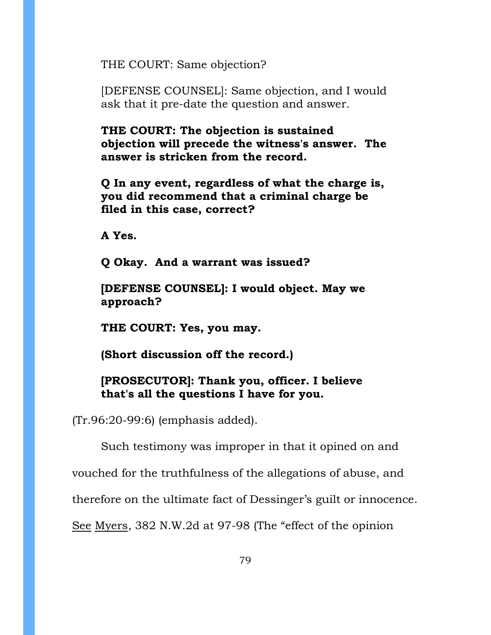THE COURT: Same objection?

[DEFENSE COUNSEL]: Same objection, and I would ask that it pre-date the question and answer.

**THE COURT: The objection is sustained objection will precede the witness's answer. The answer is stricken from the record.**

**Q In any event, regardless of what the charge is, you did recommend that a criminal charge be filed in this case, correct?**

**A Yes.**

**Q Okay. And a warrant was issued?**

**[DEFENSE COUNSEL]: I would object. May we approach?**

**THE COURT: Yes, you may.**

**(Short discussion off the record.)**

**[PROSECUTOR]: Thank you, officer. I believe that's all the questions I have for you.**

(Tr.96:20-99:6) (emphasis added).

Such testimony was improper in that it opined on and

vouched for the truthfulness of the allegations of abuse, and

therefore on the ultimate fact of Dessinger's guilt or innocence.

See Myers, 382 N.W.2d at 97-98 (The "effect of the opinion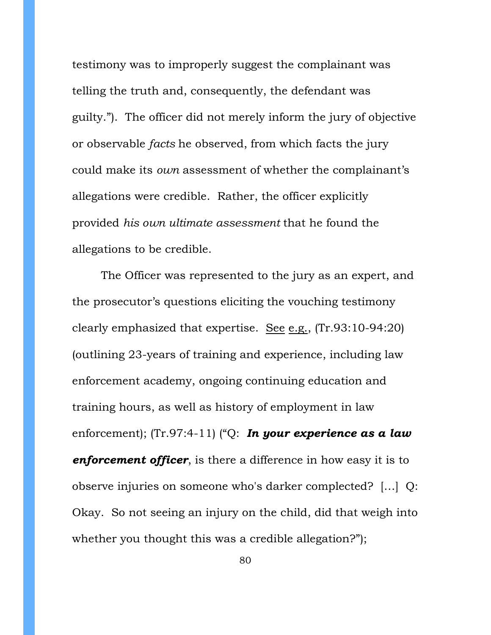testimony was to improperly suggest the complainant was telling the truth and, consequently, the defendant was guilty."). The officer did not merely inform the jury of objective or observable *facts* he observed, from which facts the jury could make its *own* assessment of whether the complainant's allegations were credible. Rather, the officer explicitly provided *his own ultimate assessment* that he found the allegations to be credible.

The Officer was represented to the jury as an expert, and the prosecutor's questions eliciting the vouching testimony clearly emphasized that expertise. See e.g., (Tr.93:10-94:20) (outlining 23-years of training and experience, including law enforcement academy, ongoing continuing education and training hours, as well as history of employment in law enforcement); (Tr.97:4-11) ("Q: *In your experience as a law enforcement officer*, is there a difference in how easy it is to observe injuries on someone who's darker complected? […] Q: Okay. So not seeing an injury on the child, did that weigh into whether you thought this was a credible allegation?");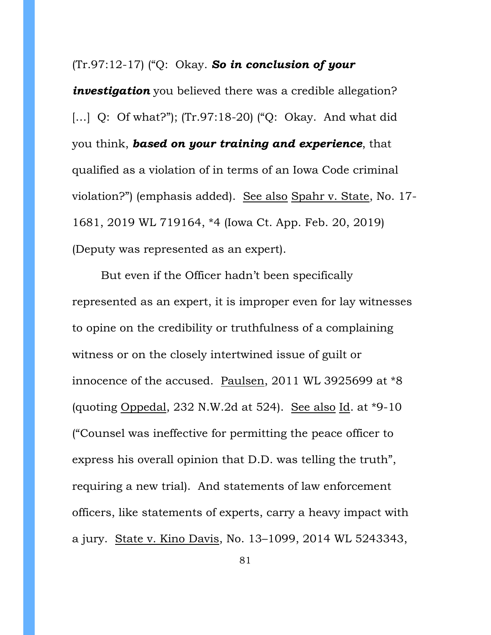#### (Tr.97:12-17) ("Q: Okay. *So in conclusion of your*

*investigation* you believed there was a credible allegation? [...] Q: Of what?"); (Tr.97:18-20) ("Q: Okay. And what did you think, *based on your training and experience*, that qualified as a violation of in terms of an Iowa Code criminal violation?") (emphasis added). See also Spahr v. State, No. 17- 1681, 2019 WL 719164, \*4 (Iowa Ct. App. Feb. 20, 2019) (Deputy was represented as an expert).

But even if the Officer hadn't been specifically represented as an expert, it is improper even for lay witnesses to opine on the credibility or truthfulness of a complaining witness or on the closely intertwined issue of guilt or innocence of the accused. Paulsen, 2011 WL 3925699 at \*8 (quoting Oppedal, 232 N.W.2d at 524). See also Id. at \*9-10 ("Counsel was ineffective for permitting the peace officer to express his overall opinion that D.D. was telling the truth", requiring a new trial). And statements of law enforcement officers, like statements of experts, carry a heavy impact with a jury. State v. Kino Davis, No. 13–1099, 2014 WL 5243343,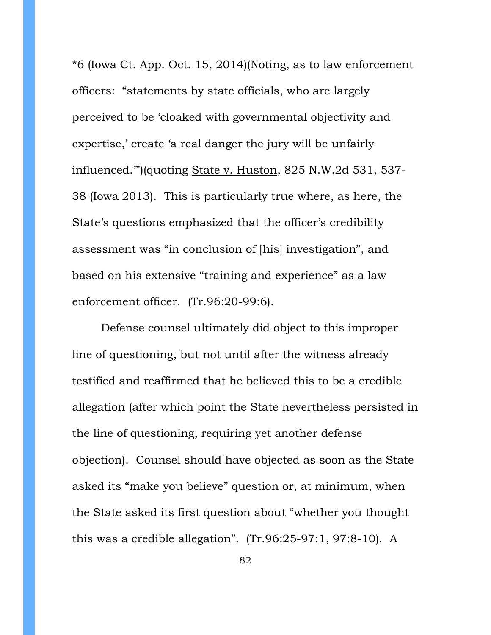\*6 (Iowa Ct. App. Oct. 15, 2014)(Noting, as to law enforcement officers: "statements by state officials, who are largely perceived to be 'cloaked with governmental objectivity and expertise,' create 'a real danger the jury will be unfairly influenced.'")(quoting State v. Huston, 825 N.W.2d 531, 537- 38 (Iowa 2013). This is particularly true where, as here, the State's questions emphasized that the officer's credibility assessment was "in conclusion of [his] investigation", and based on his extensive "training and experience" as a law enforcement officer. (Tr.96:20-99:6).

Defense counsel ultimately did object to this improper line of questioning, but not until after the witness already testified and reaffirmed that he believed this to be a credible allegation (after which point the State nevertheless persisted in the line of questioning, requiring yet another defense objection). Counsel should have objected as soon as the State asked its "make you believe" question or, at minimum, when the State asked its first question about "whether you thought this was a credible allegation". (Tr.96:25-97:1, 97:8-10). A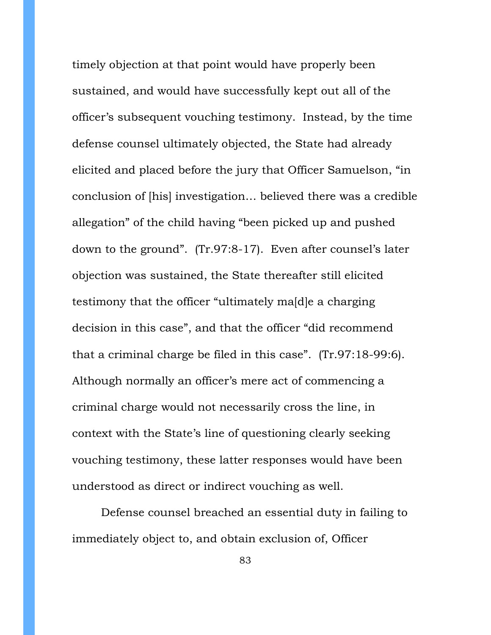timely objection at that point would have properly been sustained, and would have successfully kept out all of the officer's subsequent vouching testimony. Instead, by the time defense counsel ultimately objected, the State had already elicited and placed before the jury that Officer Samuelson, "in conclusion of [his] investigation… believed there was a credible allegation" of the child having "been picked up and pushed down to the ground". (Tr.97:8-17). Even after counsel's later objection was sustained, the State thereafter still elicited testimony that the officer "ultimately ma[d]e a charging decision in this case", and that the officer "did recommend that a criminal charge be filed in this case". (Tr.97:18-99:6). Although normally an officer's mere act of commencing a criminal charge would not necessarily cross the line, in context with the State's line of questioning clearly seeking vouching testimony, these latter responses would have been understood as direct or indirect vouching as well.

Defense counsel breached an essential duty in failing to immediately object to, and obtain exclusion of, Officer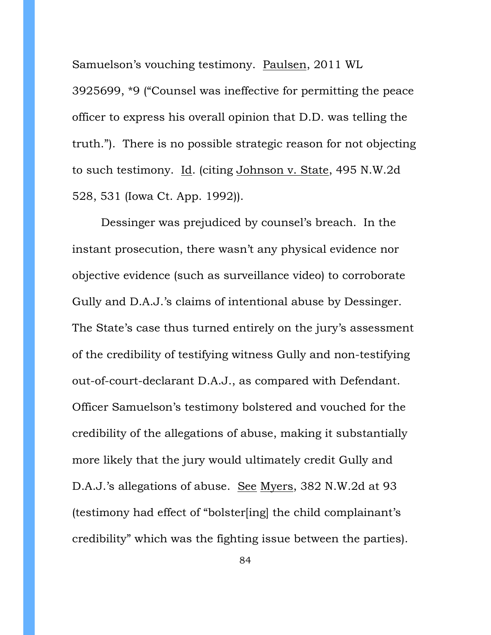Samuelson's vouching testimony. Paulsen, 2011 WL 3925699, \*9 ("Counsel was ineffective for permitting the peace officer to express his overall opinion that D.D. was telling the truth."). There is no possible strategic reason for not objecting to such testimony. Id. (citing Johnson v. State, 495 N.W.2d 528, 531 (Iowa Ct. App. 1992)).

Dessinger was prejudiced by counsel's breach. In the instant prosecution, there wasn't any physical evidence nor objective evidence (such as surveillance video) to corroborate Gully and D.A.J.'s claims of intentional abuse by Dessinger. The State's case thus turned entirely on the jury's assessment of the credibility of testifying witness Gully and non-testifying out-of-court-declarant D.A.J., as compared with Defendant. Officer Samuelson's testimony bolstered and vouched for the credibility of the allegations of abuse, making it substantially more likely that the jury would ultimately credit Gully and D.A.J.'s allegations of abuse. See Myers, 382 N.W.2d at 93 (testimony had effect of "bolster[ing] the child complainant's credibility" which was the fighting issue between the parties).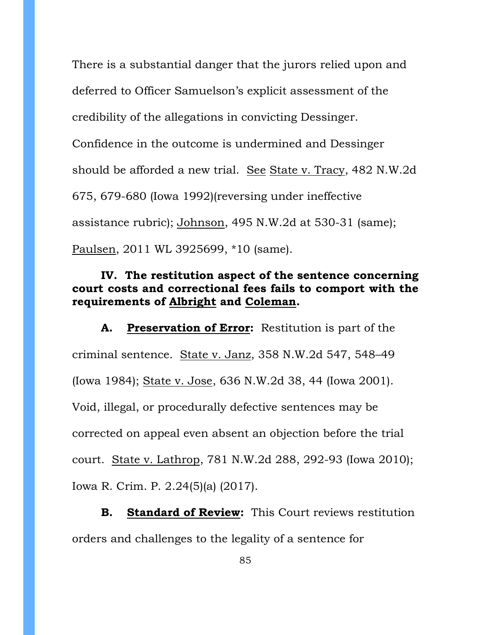There is a substantial danger that the jurors relied upon and deferred to Officer Samuelson's explicit assessment of the credibility of the allegations in convicting Dessinger. Confidence in the outcome is undermined and Dessinger should be afforded a new trial. See State v. Tracy, 482 N.W.2d 675, 679-680 (Iowa 1992)(reversing under ineffective assistance rubric); Johnson, 495 N.W.2d at 530-31 (same); Paulsen, 2011 WL 3925699, \*10 (same).

## **IV. The restitution aspect of the sentence concerning court costs and correctional fees fails to comport with the requirements of Albright and Coleman.**

**A. Preservation of Error:** Restitution is part of the criminal sentence. State v. Janz, 358 N.W.2d 547, 548–49 (Iowa 1984); State v. Jose, 636 N.W.2d 38, 44 (Iowa 2001). Void, illegal, or procedurally defective sentences may be corrected on appeal even absent an objection before the trial court. State v. Lathrop, 781 N.W.2d 288, 292-93 (Iowa 2010); Iowa R. Crim. P. 2.24(5)(a) (2017).

**B. Standard of Review:** This Court reviews restitution orders and challenges to the legality of a sentence for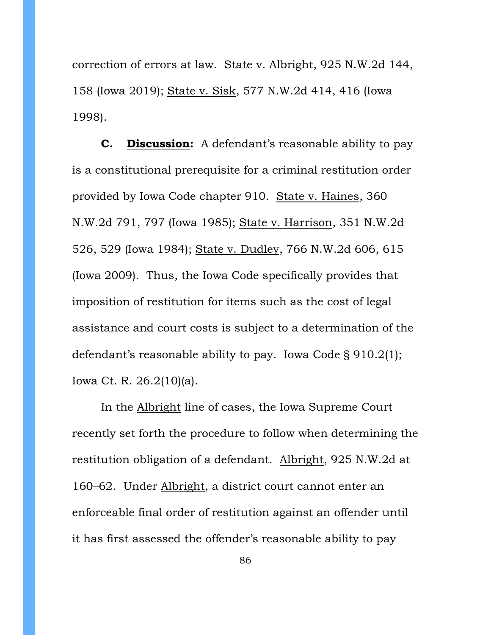correction of errors at law. State v. Albright, 925 N.W.2d 144, 158 (Iowa 2019); State v. Sisk, 577 N.W.2d 414, 416 (Iowa 1998).

**C. Discussion:** A defendant's reasonable ability to pay is a constitutional prerequisite for a criminal restitution order provided by Iowa Code chapter 910. State v. Haines, 360 N.W.2d 791, 797 (Iowa 1985); State v. Harrison, 351 N.W.2d 526, 529 (Iowa 1984); State v. Dudley, 766 N.W.2d 606, 615 (Iowa 2009). Thus, the Iowa Code specifically provides that imposition of restitution for items such as the cost of legal assistance and court costs is subject to a determination of the defendant's reasonable ability to pay. Iowa Code § 910.2(1); Iowa Ct. R. 26.2(10)(a).

In the Albright line of cases, the Iowa Supreme Court recently set forth the procedure to follow when determining the restitution obligation of a defendant. Albright, 925 N.W.2d at 160–62. Under Albright, a district court cannot enter an enforceable final order of restitution against an offender until it has first assessed the offender's reasonable ability to pay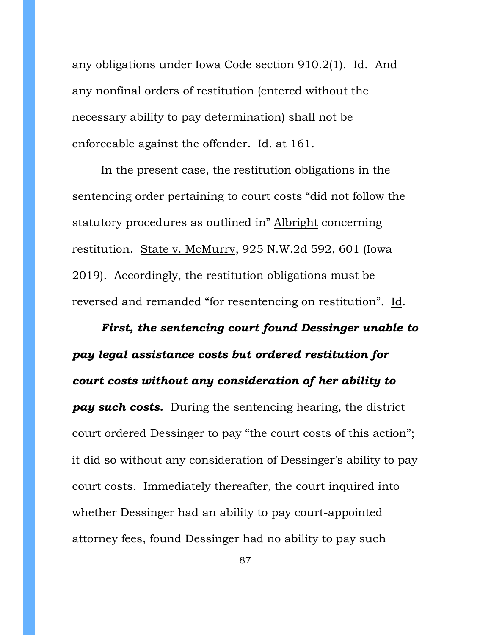any obligations under Iowa Code section 910.2(1). Id. And any nonfinal orders of restitution (entered without the necessary ability to pay determination) shall not be enforceable against the offender. Id*.* at 161.

In the present case, the restitution obligations in the sentencing order pertaining to court costs "did not follow the statutory procedures as outlined in" Albright concerning restitution. State v. McMurry, 925 N.W.2d 592, 601 (Iowa 2019). Accordingly, the restitution obligations must be reversed and remanded "for resentencing on restitution". Id.

*First, the sentencing court found Dessinger unable to pay legal assistance costs but ordered restitution for court costs without any consideration of her ability to pay such costs.* During the sentencing hearing, the district court ordered Dessinger to pay "the court costs of this action"; it did so without any consideration of Dessinger's ability to pay court costs. Immediately thereafter, the court inquired into whether Dessinger had an ability to pay court-appointed attorney fees, found Dessinger had no ability to pay such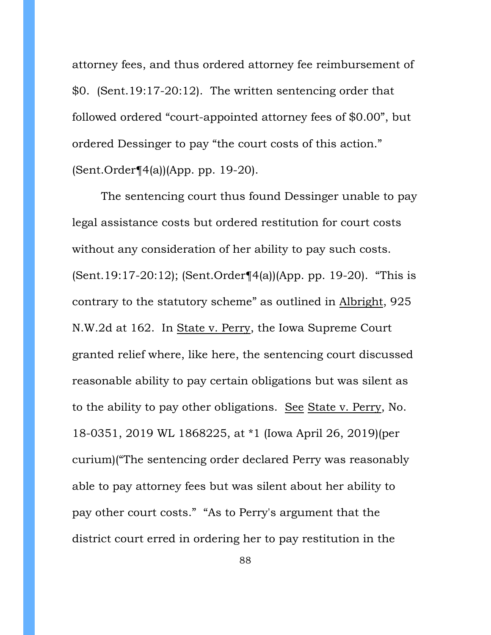attorney fees, and thus ordered attorney fee reimbursement of \$0. (Sent.19:17-20:12). The written sentencing order that followed ordered "court-appointed attorney fees of \$0.00", but ordered Dessinger to pay "the court costs of this action." (Sent.Order¶4(a))(App. pp. 19-20).

The sentencing court thus found Dessinger unable to pay legal assistance costs but ordered restitution for court costs without any consideration of her ability to pay such costs. (Sent.19:17-20:12); (Sent.Order¶4(a))(App. pp. 19-20). "This is contrary to the statutory scheme" as outlined in Albright, 925 N.W.2d at 162. In State v. Perry, the Iowa Supreme Court granted relief where, like here, the sentencing court discussed reasonable ability to pay certain obligations but was silent as to the ability to pay other obligations. See State v. Perry, No. 18-0351, 2019 WL 1868225, at \*1 (Iowa April 26, 2019)(per curium)("The sentencing order declared Perry was reasonably able to pay attorney fees but was silent about her ability to pay other court costs." "As to Perry's argument that the district court erred in ordering her to pay restitution in the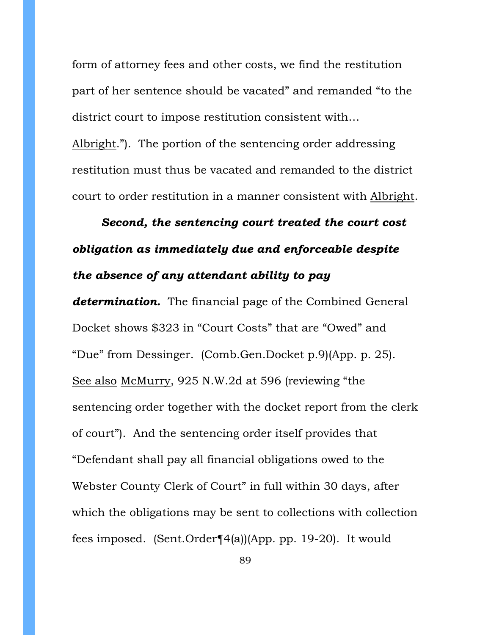form of attorney fees and other costs, we find the restitution part of her sentence should be vacated" and remanded "to the district court to impose restitution consistent with…

Albright."). The portion of the sentencing order addressing restitution must thus be vacated and remanded to the district court to order restitution in a manner consistent with Albright.

# *Second, the sentencing court treated the court cost obligation as immediately due and enforceable despite the absence of any attendant ability to pay*

*determination.* The financial page of the Combined General Docket shows \$323 in "Court Costs" that are "Owed" and "Due" from Dessinger. (Comb.Gen.Docket p.9)(App. p. 25). See also McMurry, 925 N.W.2d at 596 (reviewing "the sentencing order together with the docket report from the clerk of court"). And the sentencing order itself provides that "Defendant shall pay all financial obligations owed to the Webster County Clerk of Court" in full within 30 days, after which the obligations may be sent to collections with collection fees imposed. (Sent.Order¶4(a))(App. pp. 19-20). It would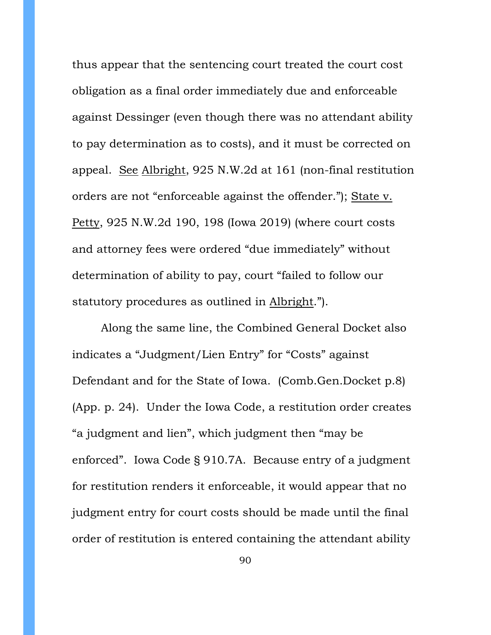thus appear that the sentencing court treated the court cost obligation as a final order immediately due and enforceable against Dessinger (even though there was no attendant ability to pay determination as to costs), and it must be corrected on appeal. See Albright, 925 N.W.2d at 161 (non-final restitution orders are not "enforceable against the offender."); State v. Petty, 925 N.W.2d 190, 198 (Iowa 2019) (where court costs and attorney fees were ordered "due immediately" without determination of ability to pay, court "failed to follow our statutory procedures as outlined in Albright.").

Along the same line, the Combined General Docket also indicates a "Judgment/Lien Entry" for "Costs" against Defendant and for the State of Iowa. (Comb.Gen.Docket p.8) (App. p. 24). Under the Iowa Code, a restitution order creates "a judgment and lien", which judgment then "may be enforced". Iowa Code § 910.7A. Because entry of a judgment for restitution renders it enforceable, it would appear that no judgment entry for court costs should be made until the final order of restitution is entered containing the attendant ability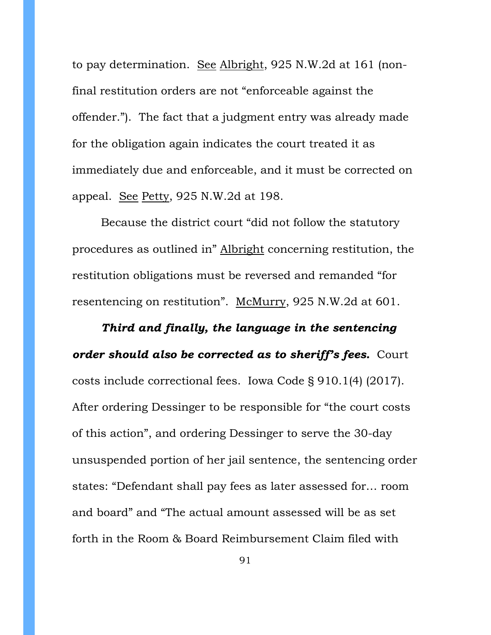to pay determination. See Albright, 925 N.W.2d at 161 (nonfinal restitution orders are not "enforceable against the offender."). The fact that a judgment entry was already made for the obligation again indicates the court treated it as immediately due and enforceable, and it must be corrected on appeal. See Petty, 925 N.W.2d at 198.

Because the district court "did not follow the statutory procedures as outlined in" Albright concerning restitution, the restitution obligations must be reversed and remanded "for resentencing on restitution". McMurry, 925 N.W.2d at 601.

*Third and finally, the language in the sentencing order should also be corrected as to sheriff's fees.* Court costs include correctional fees. Iowa Code § 910.1(4) (2017). After ordering Dessinger to be responsible for "the court costs of this action", and ordering Dessinger to serve the 30-day unsuspended portion of her jail sentence, the sentencing order states: "Defendant shall pay fees as later assessed for… room and board" and "The actual amount assessed will be as set forth in the Room & Board Reimbursement Claim filed with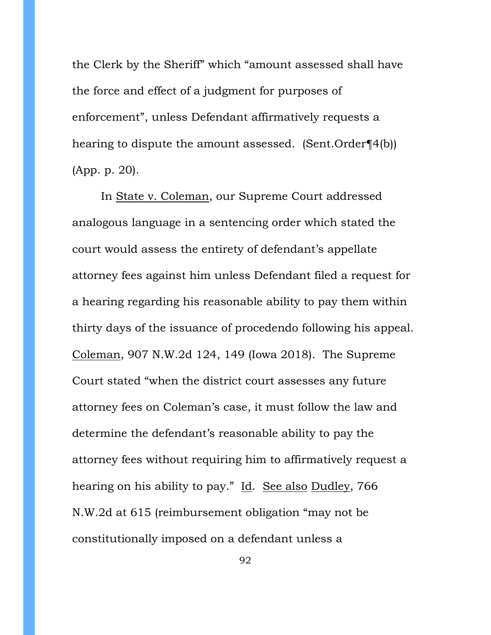the Clerk by the Sheriff" which "amount assessed shall have the force and effect of a judgment for purposes of enforcement", unless Defendant affirmatively requests a hearing to dispute the amount assessed. (Sent.Order¶4(b)) (App. p. 20).

In State v. Coleman, our Supreme Court addressed analogous language in a sentencing order which stated the court would assess the entirety of defendant's appellate attorney fees against him unless Defendant filed a request for a hearing regarding his reasonable ability to pay them within thirty days of the issuance of procedendo following his appeal. Coleman, 907 N.W.2d 124, 149 (Iowa 2018). The Supreme Court stated "when the district court assesses any future attorney fees on Coleman's case, it must follow the law and determine the defendant's reasonable ability to pay the attorney fees without requiring him to affirmatively request a hearing on his ability to pay." Id. See also Dudley, 766 N.W.2d at 615 (reimbursement obligation "may not be constitutionally imposed on a defendant unless a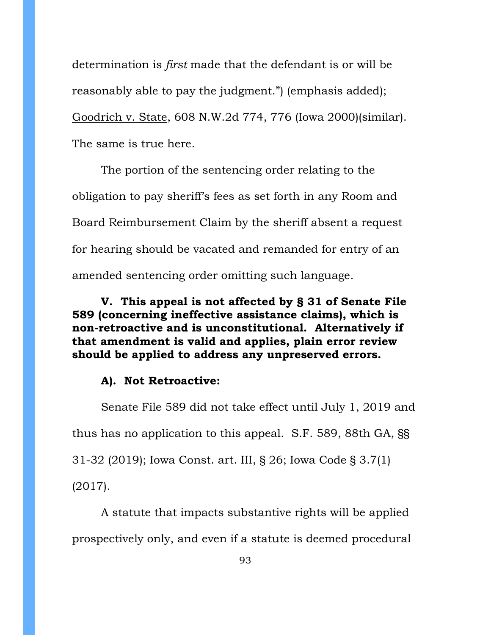determination is *first* made that the defendant is or will be reasonably able to pay the judgment.") (emphasis added); Goodrich v. State, 608 N.W.2d 774, 776 (Iowa 2000)(similar). The same is true here.

The portion of the sentencing order relating to the obligation to pay sheriff's fees as set forth in any Room and Board Reimbursement Claim by the sheriff absent a request for hearing should be vacated and remanded for entry of an amended sentencing order omitting such language.

**V. This appeal is not affected by § 31 of Senate File 589 (concerning ineffective assistance claims), which is non-retroactive and is unconstitutional. Alternatively if that amendment is valid and applies, plain error review should be applied to address any unpreserved errors.**

#### **A). Not Retroactive:**

Senate File 589 did not take effect until July 1, 2019 and thus has no application to this appeal. S.F. 589, 88th GA, §§ 31-32 (2019); Iowa Const. art. III, § 26; Iowa Code § 3.7(1) (2017).

A statute that impacts substantive rights will be applied prospectively only, and even if a statute is deemed procedural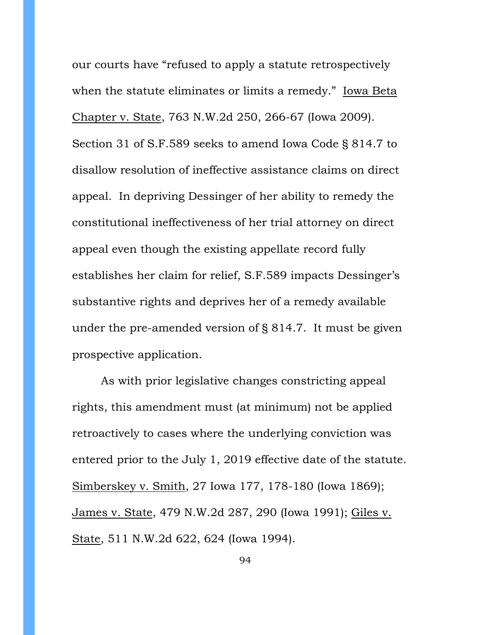our courts have "refused to apply a statute retrospectively when the statute eliminates or limits a remedy." Iowa Beta Chapter v. State, 763 N.W.2d 250, 266-67 (Iowa 2009). Section 31 of S.F.589 seeks to amend Iowa Code § 814.7 to disallow resolution of ineffective assistance claims on direct appeal. In depriving Dessinger of her ability to remedy the constitutional ineffectiveness of her trial attorney on direct appeal even though the existing appellate record fully establishes her claim for relief, S.F.589 impacts Dessinger's substantive rights and deprives her of a remedy available under the pre-amended version of § 814.7. It must be given prospective application.

As with prior legislative changes constricting appeal rights, this amendment must (at minimum) not be applied retroactively to cases where the underlying conviction was entered prior to the July 1, 2019 effective date of the statute. Simberskey v. Smith, 27 Iowa 177, 178-180 (Iowa 1869); James v. State, 479 N.W.2d 287, 290 (Iowa 1991); Giles v. State, 511 N.W.2d 622, 624 (Iowa 1994).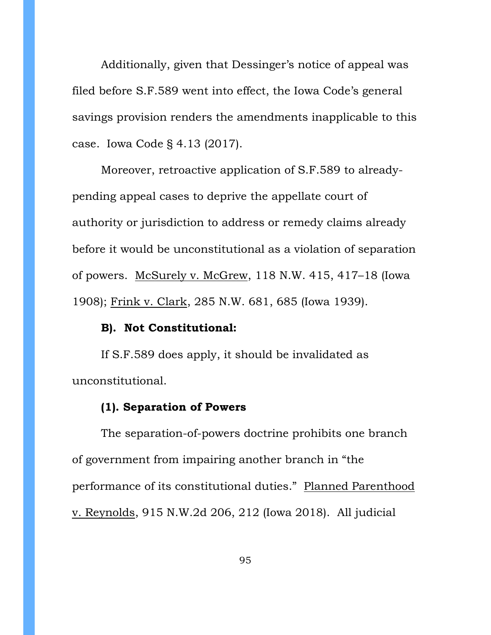Additionally, given that Dessinger's notice of appeal was filed before S.F.589 went into effect, the Iowa Code's general savings provision renders the amendments inapplicable to this case. Iowa Code § 4.13 (2017).

Moreover, retroactive application of S.F.589 to alreadypending appeal cases to deprive the appellate court of authority or jurisdiction to address or remedy claims already before it would be unconstitutional as a violation of separation of powers. McSurely v. McGrew, 118 N.W. 415, 417–18 (Iowa 1908); Frink v. Clark, 285 N.W. 681, 685 (Iowa 1939).

#### **B). Not Constitutional:**

If S.F.589 does apply, it should be invalidated as unconstitutional.

#### **(1). Separation of Powers**

The separation-of-powers doctrine prohibits one branch of government from impairing another branch in "the performance of its constitutional duties." Planned Parenthood v. Reynolds, 915 N.W.2d 206, 212 (Iowa 2018). All judicial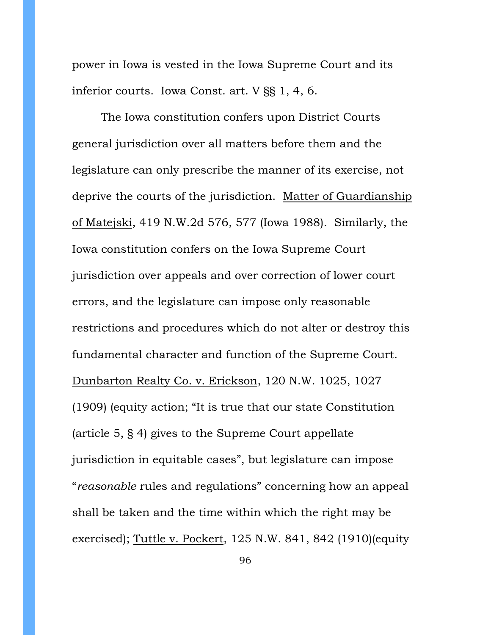power in Iowa is vested in the Iowa Supreme Court and its inferior courts. Iowa Const. art. V §§ 1, 4, 6.

The Iowa constitution confers upon District Courts general jurisdiction over all matters before them and the legislature can only prescribe the manner of its exercise, not deprive the courts of the jurisdiction. Matter of Guardianship of Matejski, 419 N.W.2d 576, 577 (Iowa 1988). Similarly, the Iowa constitution confers on the Iowa Supreme Court jurisdiction over appeals and over correction of lower court errors, and the legislature can impose only reasonable restrictions and procedures which do not alter or destroy this fundamental character and function of the Supreme Court. Dunbarton Realty Co. v. Erickson, 120 N.W. 1025, 1027 (1909) (equity action; "It is true that our state Constitution (article 5, § 4) gives to the Supreme Court appellate jurisdiction in equitable cases", but legislature can impose "*reasonable* rules and regulations" concerning how an appeal shall be taken and the time within which the right may be exercised); Tuttle v. Pockert, 125 N.W. 841, 842 (1910)(equity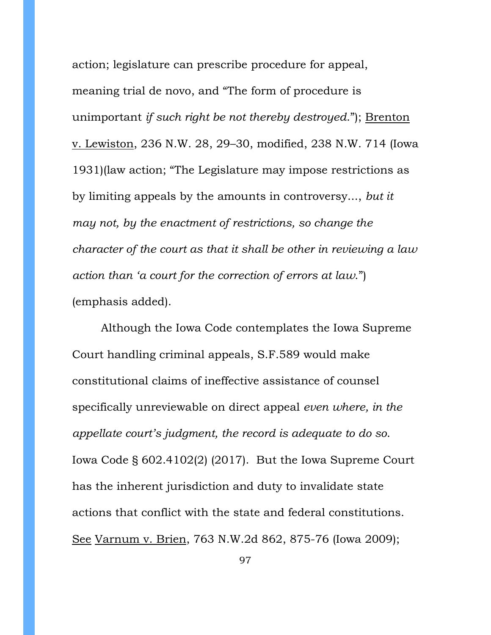action; legislature can prescribe procedure for appeal, meaning trial de novo, and "The form of procedure is unimportant *if such right be not thereby destroyed*."); Brenton v. Lewiston, 236 N.W. 28, 29–30, modified, 238 N.W. 714 (Iowa 1931)(law action; "The Legislature may impose restrictions as by limiting appeals by the amounts in controversy..., *but it may not, by the enactment of restrictions, so change the character of the court as that it shall be other in reviewing a law action than 'a court for the correction of errors at law*.") (emphasis added).

Although the Iowa Code contemplates the Iowa Supreme Court handling criminal appeals, S.F.589 would make constitutional claims of ineffective assistance of counsel specifically unreviewable on direct appeal *even where, in the appellate court's judgment, the record is adequate to do so*. Iowa Code § 602.4102(2) (2017). But the Iowa Supreme Court has the inherent jurisdiction and duty to invalidate state actions that conflict with the state and federal constitutions. See Varnum v. Brien, 763 N.W.2d 862, 875-76 (Iowa 2009);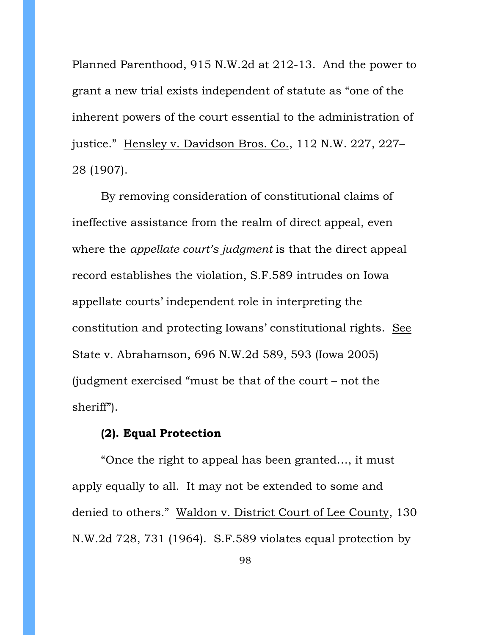Planned Parenthood, 915 N.W.2d at 212-13. And the power to grant a new trial exists independent of statute as "one of the inherent powers of the court essential to the administration of justice." Hensley v. Davidson Bros. Co., 112 N.W. 227, 227– 28 (1907).

By removing consideration of constitutional claims of ineffective assistance from the realm of direct appeal, even where the *appellate court's judgment* is that the direct appeal record establishes the violation, S.F.589 intrudes on Iowa appellate courts' independent role in interpreting the constitution and protecting Iowans' constitutional rights. See State v. Abrahamson, 696 N.W.2d 589, 593 (Iowa 2005) (judgment exercised "must be that of the court – not the sheriff").

## **(2). Equal Protection**

"Once the right to appeal has been granted…, it must apply equally to all. It may not be extended to some and denied to others." Waldon v. District Court of Lee County, 130 N.W.2d 728, 731 (1964). S.F.589 violates equal protection by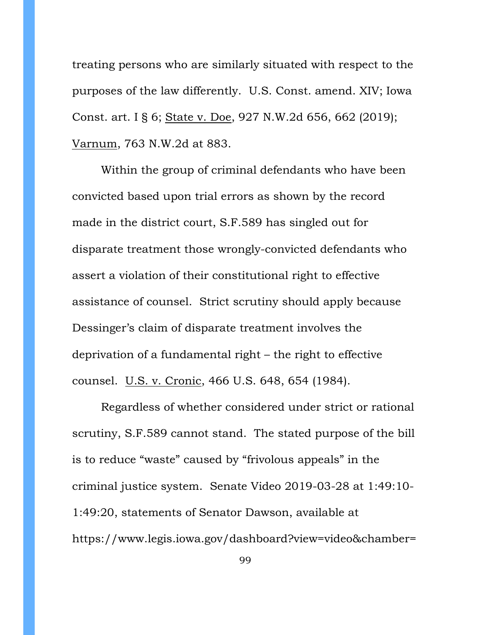treating persons who are similarly situated with respect to the purposes of the law differently. U.S. Const. amend. XIV; Iowa Const. art. I § 6; State v. Doe, 927 N.W.2d 656, 662 (2019); Varnum, 763 N.W.2d at 883.

Within the group of criminal defendants who have been convicted based upon trial errors as shown by the record made in the district court, S.F.589 has singled out for disparate treatment those wrongly-convicted defendants who assert a violation of their constitutional right to effective assistance of counsel. Strict scrutiny should apply because Dessinger's claim of disparate treatment involves the deprivation of a fundamental right – the right to effective counsel. U.S. v. Cronic, 466 U.S. 648, 654 (1984).

Regardless of whether considered under strict or rational scrutiny, S.F.589 cannot stand. The stated purpose of the bill is to reduce "waste" caused by "frivolous appeals" in the criminal justice system. Senate Video 2019-03-28 at 1:49:10- 1:49:20, statements of Senator Dawson, available at https://www.legis.iowa.gov/dashboard?view=video&chamber=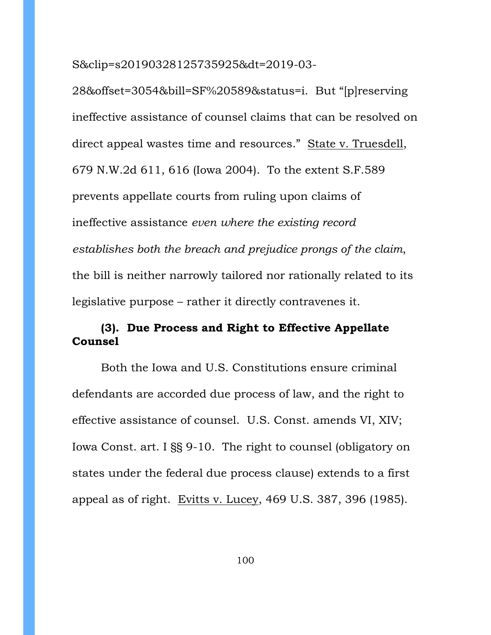S&clip=s20190328125735925&dt=2019-03-

28&offset=3054&bill=SF%20589&status=i. But "[p]reserving ineffective assistance of counsel claims that can be resolved on direct appeal wastes time and resources." State v. Truesdell, 679 N.W.2d 611, 616 (Iowa 2004). To the extent S.F.589 prevents appellate courts from ruling upon claims of ineffective assistance *even where the existing record establishes both the breach and prejudice prongs of the claim*, the bill is neither narrowly tailored nor rationally related to its legislative purpose – rather it directly contravenes it.

# **(3). Due Process and Right to Effective Appellate Counsel**

Both the Iowa and U.S. Constitutions ensure criminal defendants are accorded due process of law, and the right to effective assistance of counsel. U.S. Const. amends VI, XIV; Iowa Const. art. I §§ 9-10. The right to counsel (obligatory on states under the federal due process clause) extends to a first appeal as of right. Evitts v. Lucey, 469 U.S. 387, 396 (1985).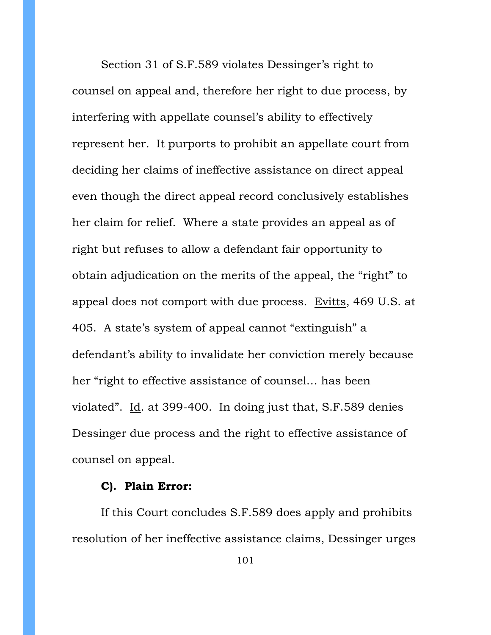Section 31 of S.F.589 violates Dessinger's right to counsel on appeal and, therefore her right to due process, by interfering with appellate counsel's ability to effectively represent her. It purports to prohibit an appellate court from deciding her claims of ineffective assistance on direct appeal even though the direct appeal record conclusively establishes her claim for relief. Where a state provides an appeal as of right but refuses to allow a defendant fair opportunity to obtain adjudication on the merits of the appeal, the "right" to appeal does not comport with due process. Evitts, 469 U.S. at 405. A state's system of appeal cannot "extinguish" a defendant's ability to invalidate her conviction merely because her "right to effective assistance of counsel… has been violated". Id. at 399-400. In doing just that, S.F.589 denies Dessinger due process and the right to effective assistance of counsel on appeal.

#### **C). Plain Error:**

If this Court concludes S.F.589 does apply and prohibits resolution of her ineffective assistance claims, Dessinger urges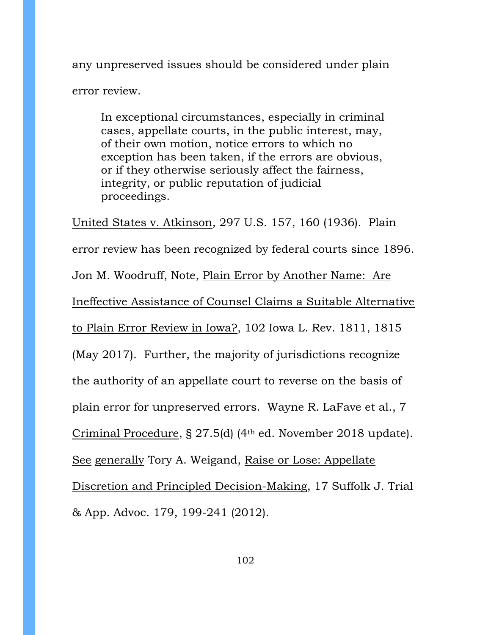any unpreserved issues should be considered under plain error review.

In exceptional circumstances, especially in criminal cases, appellate courts, in the public interest, may, of their own motion, notice errors to which no exception has been taken, if the errors are obvious, or if they otherwise seriously affect the fairness, integrity, or public reputation of judicial proceedings.

United States v. Atkinson, 297 U.S. 157, 160 (1936). Plain error review has been recognized by federal courts since 1896. Jon M. Woodruff, Note, Plain Error by Another Name: Are Ineffective Assistance of Counsel Claims a Suitable Alternative to Plain Error Review in Iowa?, 102 Iowa L. Rev. 1811, 1815 (May 2017). Further, the majority of jurisdictions recognize the authority of an appellate court to reverse on the basis of plain error for unpreserved errors. Wayne R. LaFave et al., 7 Criminal Procedure, § 27.5(d) (4th ed. November 2018 update). See generally Tory A. Weigand, Raise or Lose: Appellate Discretion and Principled Decision-Making, 17 Suffolk J. Trial & App. Advoc. 179, 199-241 (2012).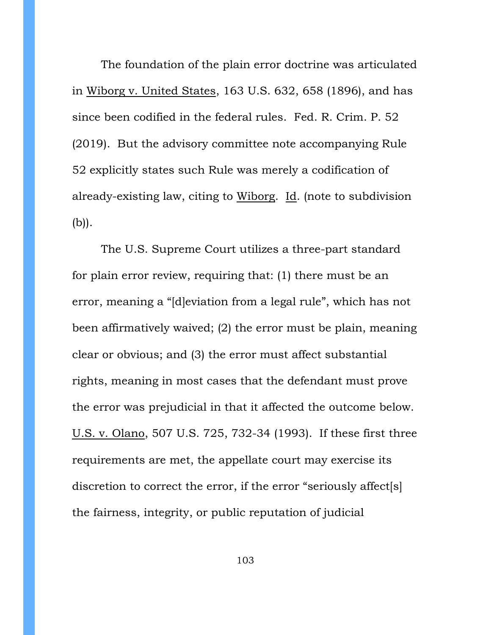The foundation of the plain error doctrine was articulated in Wiborg v. United States, 163 U.S. 632, 658 (1896), and has since been codified in the federal rules. Fed. R. Crim. P. 52 (2019). But the advisory committee note accompanying Rule 52 explicitly states such Rule was merely a codification of already-existing law, citing to Wiborg. Id. (note to subdivision (b)).

The U.S. Supreme Court utilizes a three-part standard for plain error review, requiring that: (1) there must be an error, meaning a "[d]eviation from a legal rule", which has not been affirmatively waived; (2) the error must be plain, meaning clear or obvious; and (3) the error must affect substantial rights, meaning in most cases that the defendant must prove the error was prejudicial in that it affected the outcome below. U.S. v. Olano, 507 U.S. 725, 732-34 (1993). If these first three requirements are met, the appellate court may exercise its discretion to correct the error, if the error "seriously affect[s] the fairness, integrity, or public reputation of judicial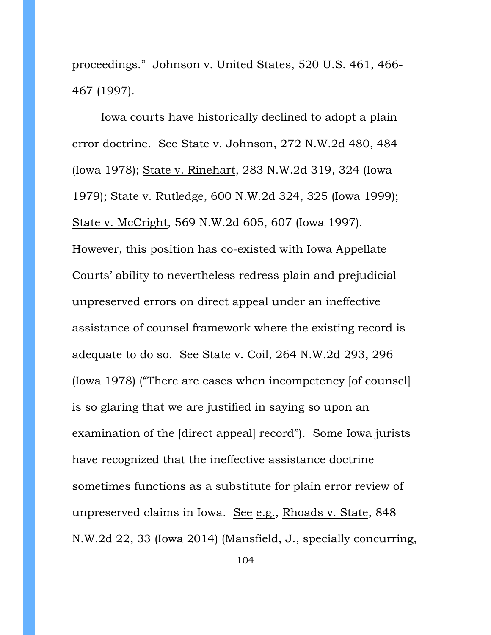proceedings." Johnson v. United States, 520 U.S. 461, 466- 467 (1997).

Iowa courts have historically declined to adopt a plain error doctrine. See State v. Johnson, 272 N.W.2d 480, 484 (Iowa 1978); State v. Rinehart, 283 N.W.2d 319, 324 (Iowa 1979); State v. Rutledge, 600 N.W.2d 324, 325 (Iowa 1999); State v. McCright, 569 N.W.2d 605, 607 (Iowa 1997). However, this position has co-existed with Iowa Appellate Courts' ability to nevertheless redress plain and prejudicial unpreserved errors on direct appeal under an ineffective assistance of counsel framework where the existing record is adequate to do so. See State v. Coil, 264 N.W.2d 293, 296 (Iowa 1978) ("There are cases when incompetency [of counsel] is so glaring that we are justified in saying so upon an examination of the [direct appeal] record"). Some Iowa jurists have recognized that the ineffective assistance doctrine sometimes functions as a substitute for plain error review of unpreserved claims in Iowa. See e.g., Rhoads v. State, 848 N.W.2d 22, 33 (Iowa 2014) (Mansfield, J., specially concurring,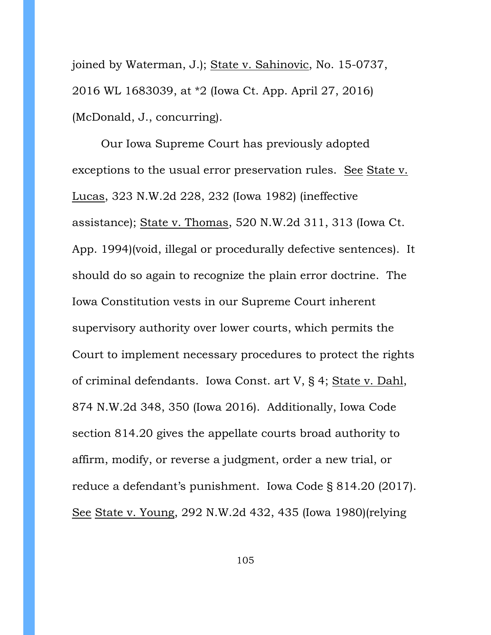joined by Waterman, J.); State v. Sahinovic, No. 15-0737, 2016 WL 1683039, at \*2 (Iowa Ct. App. April 27, 2016) (McDonald, J., concurring).

Our Iowa Supreme Court has previously adopted exceptions to the usual error preservation rules. See State v. Lucas, 323 N.W.2d 228, 232 (Iowa 1982) (ineffective assistance); State v. Thomas, 520 N.W.2d 311, 313 (Iowa Ct. App. 1994)(void, illegal or procedurally defective sentences). It should do so again to recognize the plain error doctrine. The Iowa Constitution vests in our Supreme Court inherent supervisory authority over lower courts, which permits the Court to implement necessary procedures to protect the rights of criminal defendants. Iowa Const. art V, § 4; State v. Dahl, 874 N.W.2d 348, 350 (Iowa 2016). Additionally, Iowa Code section 814.20 gives the appellate courts broad authority to affirm, modify, or reverse a judgment, order a new trial, or reduce a defendant's punishment. Iowa Code § 814.20 (2017). See State v. Young, 292 N.W.2d 432, 435 (Iowa 1980)(relying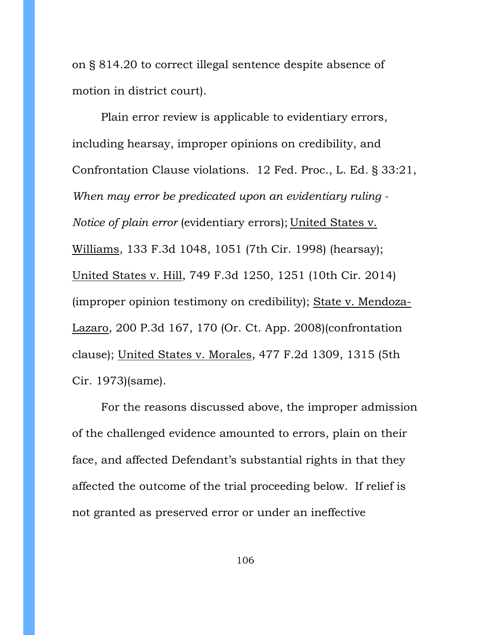on § 814.20 to correct illegal sentence despite absence of motion in district court).

Plain error review is applicable to evidentiary errors, including hearsay, improper opinions on credibility, and Confrontation Clause violations. 12 Fed. Proc., L. Ed. § 33:21, *When may error be predicated upon an evidentiary ruling - Notice of plain error* (evidentiary errors); United States v. Williams, 133 F.3d 1048, 1051 (7th Cir. 1998) (hearsay); United States v. Hill, 749 F.3d 1250, 1251 (10th Cir. 2014) (improper opinion testimony on credibility); State v. Mendoza-Lazaro, 200 P.3d 167, 170 (Or. Ct. App. 2008)(confrontation clause); United States v. Morales, 477 F.2d 1309, 1315 (5th Cir. 1973)(same).

For the reasons discussed above, the improper admission of the challenged evidence amounted to errors, plain on their face, and affected Defendant's substantial rights in that they affected the outcome of the trial proceeding below. If relief is not granted as preserved error or under an ineffective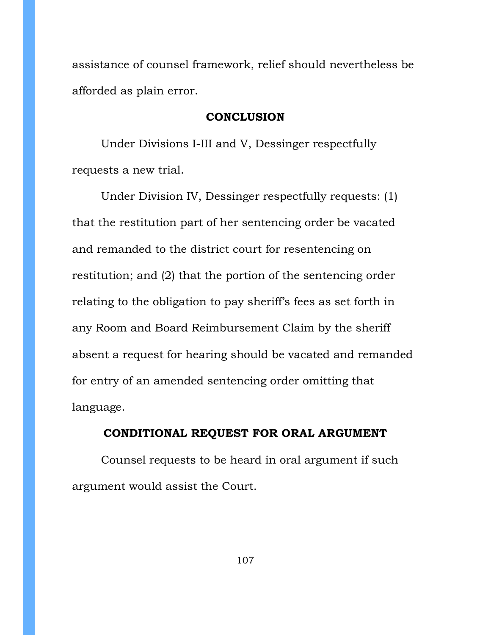assistance of counsel framework, relief should nevertheless be afforded as plain error.

#### **CONCLUSION**

Under Divisions I-III and V, Dessinger respectfully requests a new trial.

Under Division IV, Dessinger respectfully requests: (1) that the restitution part of her sentencing order be vacated and remanded to the district court for resentencing on restitution; and (2) that the portion of the sentencing order relating to the obligation to pay sheriff's fees as set forth in any Room and Board Reimbursement Claim by the sheriff absent a request for hearing should be vacated and remanded for entry of an amended sentencing order omitting that language.

## **CONDITIONAL REQUEST FOR ORAL ARGUMENT**

Counsel requests to be heard in oral argument if such argument would assist the Court.